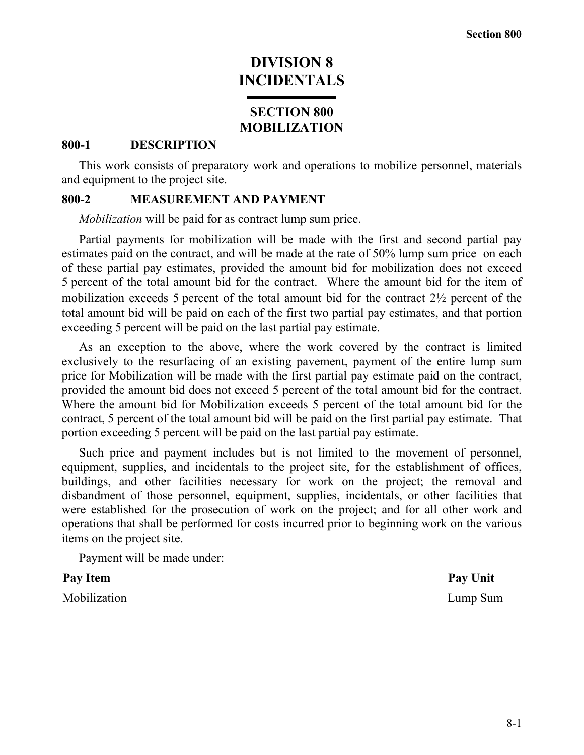# **DIVISION 8 INCIDENTALS**

# **SECTION 800 MOBILIZATION**

#### **800-1 DESCRIPTION**

This work consists of preparatory work and operations to mobilize personnel, materials and equipment to the project site.

## **800-2 MEASUREMENT AND PAYMENT**

*Mobilization* will be paid for as contract lump sum price.

Partial payments for mobilization will be made with the first and second partial pay estimates paid on the contract, and will be made at the rate of 50% lump sum price on each of these partial pay estimates, provided the amount bid for mobilization does not exceed 5 percent of the total amount bid for the contract. Where the amount bid for the item of mobilization exceeds 5 percent of the total amount bid for the contract 2½ percent of the total amount bid will be paid on each of the first two partial pay estimates, and that portion exceeding 5 percent will be paid on the last partial pay estimate.

As an exception to the above, where the work covered by the contract is limited exclusively to the resurfacing of an existing pavement, payment of the entire lump sum price for Mobilization will be made with the first partial pay estimate paid on the contract, provided the amount bid does not exceed 5 percent of the total amount bid for the contract. Where the amount bid for Mobilization exceeds 5 percent of the total amount bid for the contract, 5 percent of the total amount bid will be paid on the first partial pay estimate. That portion exceeding 5 percent will be paid on the last partial pay estimate.

Such price and payment includes but is not limited to the movement of personnel, equipment, supplies, and incidentals to the project site, for the establishment of offices, buildings, and other facilities necessary for work on the project; the removal and disbandment of those personnel, equipment, supplies, incidentals, or other facilities that were established for the prosecution of work on the project; and for all other work and operations that shall be performed for costs incurred prior to beginning work on the various items on the project site.

Payment will be made under:

Mobilization Lump Sum

Pay Item **Pay Unit**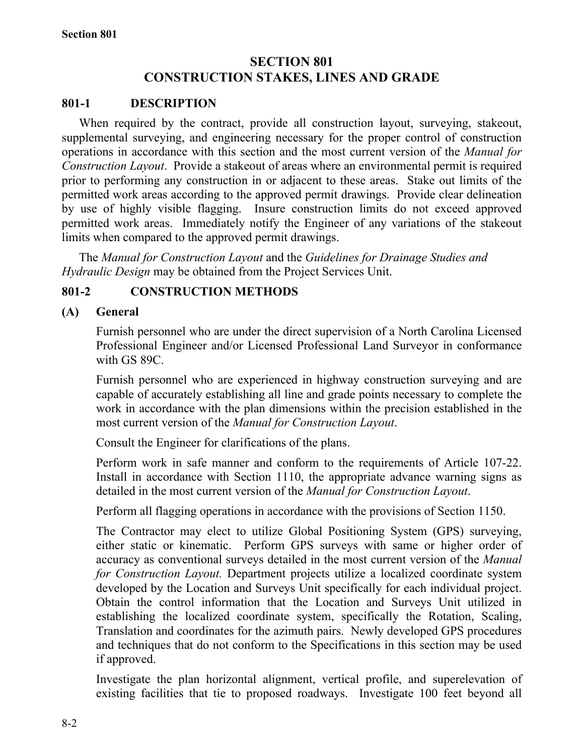# **SECTION 801 CONSTRUCTION STAKES, LINES AND GRADE**

## **801-1 DESCRIPTION**

When required by the contract, provide all construction layout, surveying, stakeout, supplemental surveying, and engineering necessary for the proper control of construction operations in accordance with this section and the most current version of the *Manual for Construction Layout*. Provide a stakeout of areas where an environmental permit is required prior to performing any construction in or adjacent to these areas. Stake out limits of the permitted work areas according to the approved permit drawings. Provide clear delineation by use of highly visible flagging. Insure construction limits do not exceed approved permitted work areas. Immediately notify the Engineer of any variations of the stakeout limits when compared to the approved permit drawings.

The *Manual for Construction Layout* and the *Guidelines for Drainage Studies and Hydraulic Design* may be obtained from the Project Services Unit.

# **801-2 CONSTRUCTION METHODS**

## **(A) General**

Furnish personnel who are under the direct supervision of a North Carolina Licensed Professional Engineer and/or Licensed Professional Land Surveyor in conformance with GS 89C.

Furnish personnel who are experienced in highway construction surveying and are capable of accurately establishing all line and grade points necessary to complete the work in accordance with the plan dimensions within the precision established in the most current version of the *Manual for Construction Layout*.

Consult the Engineer for clarifications of the plans.

Perform work in safe manner and conform to the requirements of Article 107-22. Install in accordance with Section 1110, the appropriate advance warning signs as detailed in the most current version of the *Manual for Construction Layout*.

Perform all flagging operations in accordance with the provisions of Section 1150.

The Contractor may elect to utilize Global Positioning System (GPS) surveying, either static or kinematic. Perform GPS surveys with same or higher order of accuracy as conventional surveys detailed in the most current version of the *Manual for Construction Layout.* Department projects utilize a localized coordinate system developed by the Location and Surveys Unit specifically for each individual project. Obtain the control information that the Location and Surveys Unit utilized in establishing the localized coordinate system, specifically the Rotation, Scaling, Translation and coordinates for the azimuth pairs. Newly developed GPS procedures and techniques that do not conform to the Specifications in this section may be used if approved.

Investigate the plan horizontal alignment, vertical profile, and superelevation of existing facilities that tie to proposed roadways. Investigate 100 feet beyond all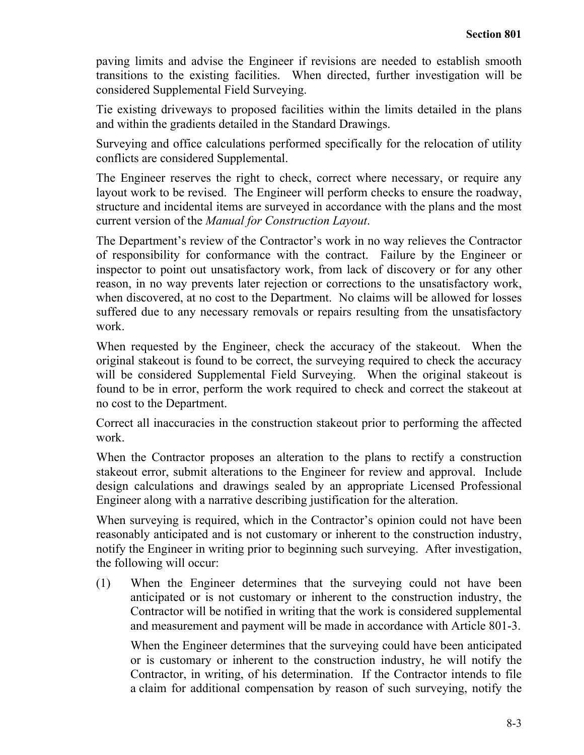paving limits and advise the Engineer if revisions are needed to establish smooth transitions to the existing facilities. When directed, further investigation will be considered Supplemental Field Surveying.

Tie existing driveways to proposed facilities within the limits detailed in the plans and within the gradients detailed in the Standard Drawings.

Surveying and office calculations performed specifically for the relocation of utility conflicts are considered Supplemental.

The Engineer reserves the right to check, correct where necessary, or require any layout work to be revised. The Engineer will perform checks to ensure the roadway, structure and incidental items are surveyed in accordance with the plans and the most current version of the *Manual for Construction Layout*.

The Department's review of the Contractor's work in no way relieves the Contractor of responsibility for conformance with the contract. Failure by the Engineer or inspector to point out unsatisfactory work, from lack of discovery or for any other reason, in no way prevents later rejection or corrections to the unsatisfactory work, when discovered, at no cost to the Department. No claims will be allowed for losses suffered due to any necessary removals or repairs resulting from the unsatisfactory work.

When requested by the Engineer, check the accuracy of the stakeout. When the original stakeout is found to be correct, the surveying required to check the accuracy will be considered Supplemental Field Surveying. When the original stakeout is found to be in error, perform the work required to check and correct the stakeout at no cost to the Department.

Correct all inaccuracies in the construction stakeout prior to performing the affected work.

When the Contractor proposes an alteration to the plans to rectify a construction stakeout error, submit alterations to the Engineer for review and approval. Include design calculations and drawings sealed by an appropriate Licensed Professional Engineer along with a narrative describing justification for the alteration.

When surveying is required, which in the Contractor's opinion could not have been reasonably anticipated and is not customary or inherent to the construction industry, notify the Engineer in writing prior to beginning such surveying. After investigation, the following will occur:

(1) When the Engineer determines that the surveying could not have been anticipated or is not customary or inherent to the construction industry, the Contractor will be notified in writing that the work is considered supplemental and measurement and payment will be made in accordance with Article 801-3.

When the Engineer determines that the surveying could have been anticipated or is customary or inherent to the construction industry, he will notify the Contractor, in writing, of his determination. If the Contractor intends to file a claim for additional compensation by reason of such surveying, notify the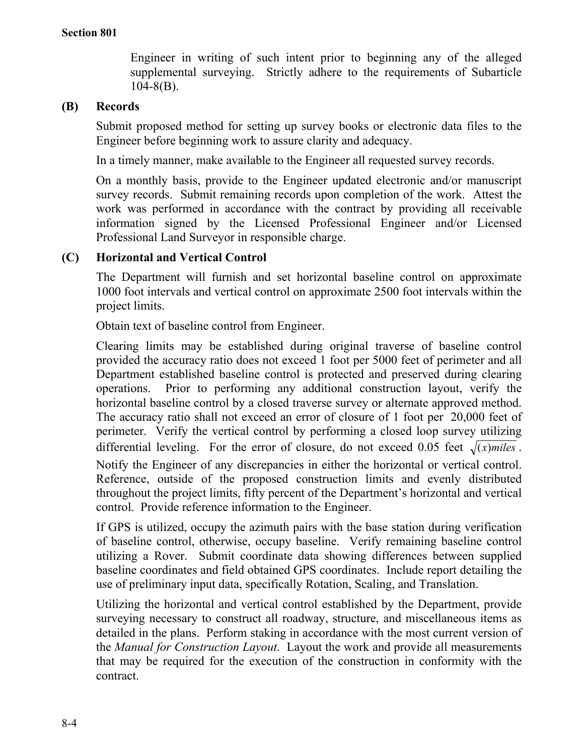Engineer in writing of such intent prior to beginning any of the alleged supplemental surveying. Strictly adhere to the requirements of Subarticle  $104 - 8(B)$ .

# **(B) Records**

Submit proposed method for setting up survey books or electronic data files to the Engineer before beginning work to assure clarity and adequacy.

In a timely manner, make available to the Engineer all requested survey records.

On a monthly basis, provide to the Engineer updated electronic and/or manuscript survey records. Submit remaining records upon completion of the work. Attest the work was performed in accordance with the contract by providing all receivable information signed by the Licensed Professional Engineer and/or Licensed Professional Land Surveyor in responsible charge.

# **(C) Horizontal and Vertical Control**

The Department will furnish and set horizontal baseline control on approximate 1000 foot intervals and vertical control on approximate 2500 foot intervals within the project limits.

Obtain text of baseline control from Engineer.

Clearing limits may be established during original traverse of baseline control provided the accuracy ratio does not exceed 1 foot per 5000 feet of perimeter and all Department established baseline control is protected and preserved during clearing operations. Prior to performing any additional construction layout, verify the horizontal baseline control by a closed traverse survey or alternate approved method. The accuracy ratio shall not exceed an error of closure of 1 foot per 20,000 feet of perimeter. Verify the vertical control by performing a closed loop survey utilizing differential leveling. For the error of closure, do not exceed 0.05 feet  $\sqrt{(x)_{m}}$ *iles*. Notify the Engineer of any discrepancies in either the horizontal or vertical control. Reference, outside of the proposed construction limits and evenly distributed throughout the project limits, fifty percent of the Department's horizontal and vertical control. Provide reference information to the Engineer.

If GPS is utilized, occupy the azimuth pairs with the base station during verification of baseline control, otherwise, occupy baseline. Verify remaining baseline control utilizing a Rover. Submit coordinate data showing differences between supplied baseline coordinates and field obtained GPS coordinates. Include report detailing the use of preliminary input data, specifically Rotation, Scaling, and Translation.

Utilizing the horizontal and vertical control established by the Department, provide surveying necessary to construct all roadway, structure, and miscellaneous items as detailed in the plans. Perform staking in accordance with the most current version of the *Manual for Construction Layout*. Layout the work and provide all measurements that may be required for the execution of the construction in conformity with the contract.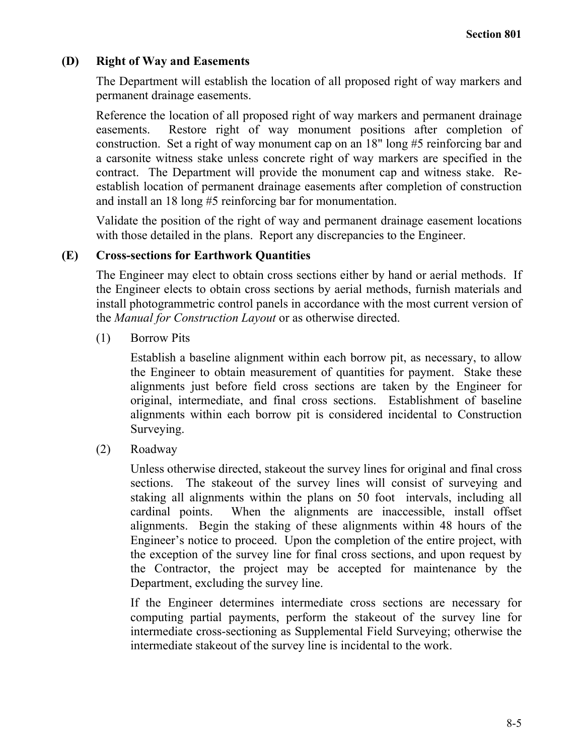# **(D) Right of Way and Easements**

The Department will establish the location of all proposed right of way markers and permanent drainage easements.

Reference the location of all proposed right of way markers and permanent drainage easements. Restore right of way monument positions after completion of construction. Set a right of way monument cap on an 18" long #5 reinforcing bar and a carsonite witness stake unless concrete right of way markers are specified in the contract. The Department will provide the monument cap and witness stake. Reestablish location of permanent drainage easements after completion of construction and install an 18 long #5 reinforcing bar for monumentation.

Validate the position of the right of way and permanent drainage easement locations with those detailed in the plans. Report any discrepancies to the Engineer.

# **(E) Cross-sections for Earthwork Quantities**

The Engineer may elect to obtain cross sections either by hand or aerial methods. If the Engineer elects to obtain cross sections by aerial methods, furnish materials and install photogrammetric control panels in accordance with the most current version of the *Manual for Construction Layout* or as otherwise directed.

(1) Borrow Pits

Establish a baseline alignment within each borrow pit, as necessary, to allow the Engineer to obtain measurement of quantities for payment. Stake these alignments just before field cross sections are taken by the Engineer for original, intermediate, and final cross sections. Establishment of baseline alignments within each borrow pit is considered incidental to Construction Surveying.

(2) Roadway

Unless otherwise directed, stakeout the survey lines for original and final cross sections. The stakeout of the survey lines will consist of surveying and staking all alignments within the plans on 50 foot intervals, including all cardinal points. When the alignments are inaccessible, install offset alignments. Begin the staking of these alignments within 48 hours of the Engineer's notice to proceed. Upon the completion of the entire project, with the exception of the survey line for final cross sections, and upon request by the Contractor, the project may be accepted for maintenance by the Department, excluding the survey line.

If the Engineer determines intermediate cross sections are necessary for computing partial payments, perform the stakeout of the survey line for intermediate cross-sectioning as Supplemental Field Surveying; otherwise the intermediate stakeout of the survey line is incidental to the work.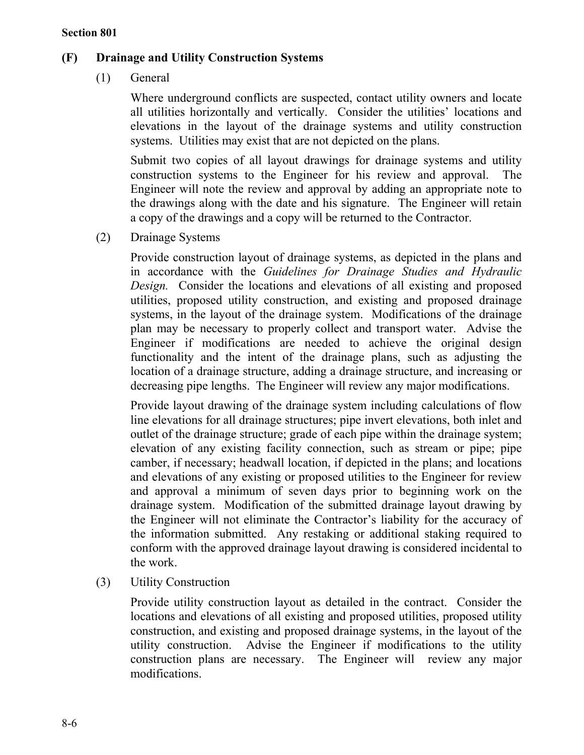# **(F) Drainage and Utility Construction Systems**

(1) General

Where underground conflicts are suspected, contact utility owners and locate all utilities horizontally and vertically. Consider the utilities' locations and elevations in the layout of the drainage systems and utility construction systems. Utilities may exist that are not depicted on the plans.

Submit two copies of all layout drawings for drainage systems and utility construction systems to the Engineer for his review and approval. The Engineer will note the review and approval by adding an appropriate note to the drawings along with the date and his signature. The Engineer will retain a copy of the drawings and a copy will be returned to the Contractor.

(2) Drainage Systems

Provide construction layout of drainage systems, as depicted in the plans and in accordance with the *Guidelines for Drainage Studies and Hydraulic Design.* Consider the locations and elevations of all existing and proposed utilities, proposed utility construction, and existing and proposed drainage systems, in the layout of the drainage system. Modifications of the drainage plan may be necessary to properly collect and transport water. Advise the Engineer if modifications are needed to achieve the original design functionality and the intent of the drainage plans, such as adjusting the location of a drainage structure, adding a drainage structure, and increasing or decreasing pipe lengths. The Engineer will review any major modifications.

Provide layout drawing of the drainage system including calculations of flow line elevations for all drainage structures; pipe invert elevations, both inlet and outlet of the drainage structure; grade of each pipe within the drainage system; elevation of any existing facility connection, such as stream or pipe; pipe camber, if necessary; headwall location, if depicted in the plans; and locations and elevations of any existing or proposed utilities to the Engineer for review and approval a minimum of seven days prior to beginning work on the drainage system. Modification of the submitted drainage layout drawing by the Engineer will not eliminate the Contractor's liability for the accuracy of the information submitted. Any restaking or additional staking required to conform with the approved drainage layout drawing is considered incidental to the work.

(3) Utility Construction

Provide utility construction layout as detailed in the contract. Consider the locations and elevations of all existing and proposed utilities, proposed utility construction, and existing and proposed drainage systems, in the layout of the utility construction. Advise the Engineer if modifications to the utility construction plans are necessary. The Engineer will review any major modifications.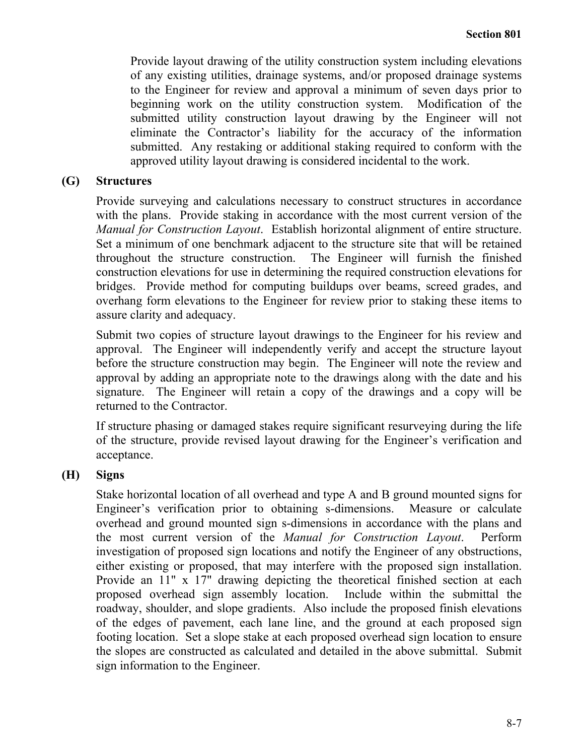Provide layout drawing of the utility construction system including elevations of any existing utilities, drainage systems, and/or proposed drainage systems to the Engineer for review and approval a minimum of seven days prior to beginning work on the utility construction system. Modification of the submitted utility construction layout drawing by the Engineer will not eliminate the Contractor's liability for the accuracy of the information submitted. Any restaking or additional staking required to conform with the approved utility layout drawing is considered incidental to the work.

## **(G) Structures**

Provide surveying and calculations necessary to construct structures in accordance with the plans. Provide staking in accordance with the most current version of the *Manual for Construction Layout*. Establish horizontal alignment of entire structure. Set a minimum of one benchmark adjacent to the structure site that will be retained throughout the structure construction. The Engineer will furnish the finished construction elevations for use in determining the required construction elevations for bridges. Provide method for computing buildups over beams, screed grades, and overhang form elevations to the Engineer for review prior to staking these items to assure clarity and adequacy.

Submit two copies of structure layout drawings to the Engineer for his review and approval. The Engineer will independently verify and accept the structure layout before the structure construction may begin. The Engineer will note the review and approval by adding an appropriate note to the drawings along with the date and his signature. The Engineer will retain a copy of the drawings and a copy will be returned to the Contractor.

If structure phasing or damaged stakes require significant resurveying during the life of the structure, provide revised layout drawing for the Engineer's verification and acceptance.

# **(H) Signs**

Stake horizontal location of all overhead and type A and B ground mounted signs for Engineer's verification prior to obtaining s-dimensions. Measure or calculate overhead and ground mounted sign s-dimensions in accordance with the plans and the most current version of the *Manual for Construction Layout*. Perform investigation of proposed sign locations and notify the Engineer of any obstructions, either existing or proposed, that may interfere with the proposed sign installation. Provide an 11" x 17" drawing depicting the theoretical finished section at each proposed overhead sign assembly location. Include within the submittal the roadway, shoulder, and slope gradients. Also include the proposed finish elevations of the edges of pavement, each lane line, and the ground at each proposed sign footing location. Set a slope stake at each proposed overhead sign location to ensure the slopes are constructed as calculated and detailed in the above submittal. Submit sign information to the Engineer.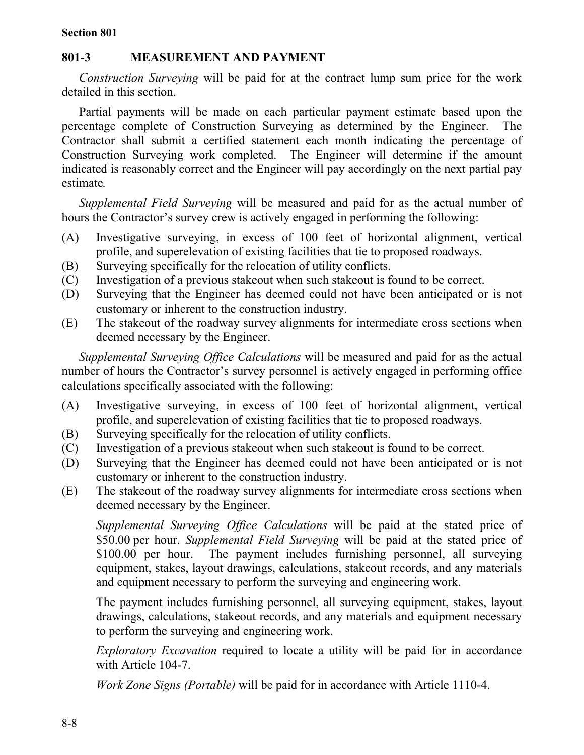## **801-3 MEASUREMENT AND PAYMENT**

*Construction Surveying* will be paid for at the contract lump sum price for the work detailed in this section.

Partial payments will be made on each particular payment estimate based upon the percentage complete of Construction Surveying as determined by the Engineer. The Contractor shall submit a certified statement each month indicating the percentage of Construction Surveying work completed. The Engineer will determine if the amount indicated is reasonably correct and the Engineer will pay accordingly on the next partial pay estimate*.* 

*Supplemental Field Surveying* will be measured and paid for as the actual number of hours the Contractor's survey crew is actively engaged in performing the following:

- (A) Investigative surveying, in excess of 100 feet of horizontal alignment, vertical profile, and superelevation of existing facilities that tie to proposed roadways.
- (B) Surveying specifically for the relocation of utility conflicts.
- (C) Investigation of a previous stakeout when such stakeout is found to be correct.
- (D) Surveying that the Engineer has deemed could not have been anticipated or is not customary or inherent to the construction industry.
- (E) The stakeout of the roadway survey alignments for intermediate cross sections when deemed necessary by the Engineer.

*Supplemental Surveying Office Calculations* will be measured and paid for as the actual number of hours the Contractor's survey personnel is actively engaged in performing office calculations specifically associated with the following:

- (A) Investigative surveying, in excess of 100 feet of horizontal alignment, vertical profile, and superelevation of existing facilities that tie to proposed roadways.
- (B) Surveying specifically for the relocation of utility conflicts.
- (C) Investigation of a previous stakeout when such stakeout is found to be correct.
- (D) Surveying that the Engineer has deemed could not have been anticipated or is not customary or inherent to the construction industry.
- (E) The stakeout of the roadway survey alignments for intermediate cross sections when deemed necessary by the Engineer.

*Supplemental Surveying Office Calculations* will be paid at the stated price of \$50.00 per hour. *Supplemental Field Surveying* will be paid at the stated price of \$100.00 per hour. The payment includes furnishing personnel, all surveying equipment, stakes, layout drawings, calculations, stakeout records, and any materials and equipment necessary to perform the surveying and engineering work.

The payment includes furnishing personnel, all surveying equipment, stakes, layout drawings, calculations, stakeout records, and any materials and equipment necessary to perform the surveying and engineering work.

*Exploratory Excavation* required to locate a utility will be paid for in accordance with Article 104-7.

*Work Zone Signs (Portable)* will be paid for in accordance with Article 1110-4.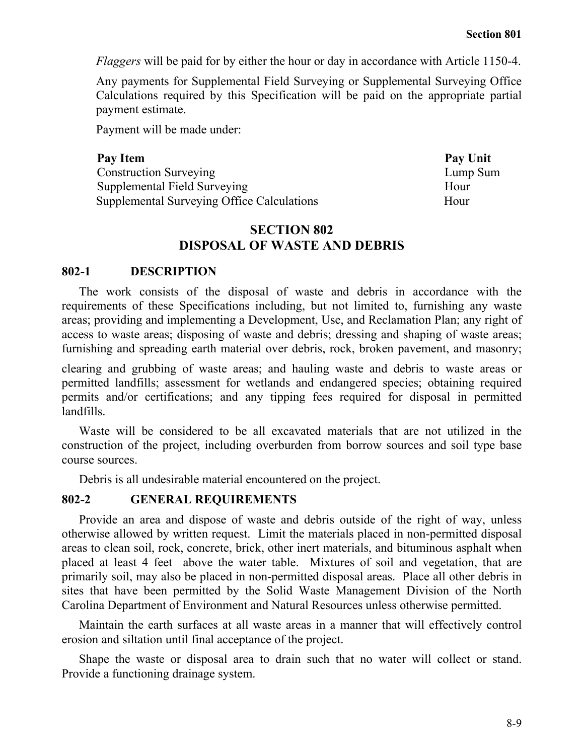*Flaggers* will be paid for by either the hour or day in accordance with Article 1150-4.

Any payments for Supplemental Field Surveying or Supplemental Surveying Office Calculations required by this Specification will be paid on the appropriate partial payment estimate.

Payment will be made under:

Pay Item Pay Unit Construction Surveying Lump Sum Supplemental Field Surveying Hour Supplemental Surveying Office Calculations Hour

# **SECTION 802 DISPOSAL OF WASTE AND DEBRIS**

#### **802-1 DESCRIPTION**

The work consists of the disposal of waste and debris in accordance with the requirements of these Specifications including, but not limited to, furnishing any waste areas; providing and implementing a Development, Use, and Reclamation Plan; any right of access to waste areas; disposing of waste and debris; dressing and shaping of waste areas; furnishing and spreading earth material over debris, rock, broken pavement, and masonry;

clearing and grubbing of waste areas; and hauling waste and debris to waste areas or permitted landfills; assessment for wetlands and endangered species; obtaining required permits and/or certifications; and any tipping fees required for disposal in permitted landfills.

Waste will be considered to be all excavated materials that are not utilized in the construction of the project, including overburden from borrow sources and soil type base course sources.

Debris is all undesirable material encountered on the project.

#### **802-2 GENERAL REQUIREMENTS**

Provide an area and dispose of waste and debris outside of the right of way, unless otherwise allowed by written request. Limit the materials placed in non-permitted disposal areas to clean soil, rock, concrete, brick, other inert materials, and bituminous asphalt when placed at least 4 feet above the water table. Mixtures of soil and vegetation, that are primarily soil, may also be placed in non-permitted disposal areas. Place all other debris in sites that have been permitted by the Solid Waste Management Division of the North Carolina Department of Environment and Natural Resources unless otherwise permitted.

Maintain the earth surfaces at all waste areas in a manner that will effectively control erosion and siltation until final acceptance of the project.

Shape the waste or disposal area to drain such that no water will collect or stand. Provide a functioning drainage system.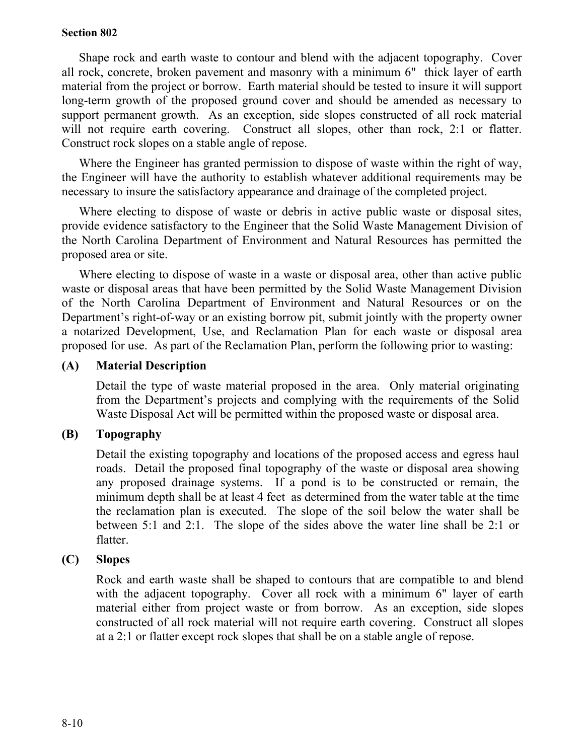Shape rock and earth waste to contour and blend with the adjacent topography. Cover all rock, concrete, broken pavement and masonry with a minimum 6" thick layer of earth material from the project or borrow. Earth material should be tested to insure it will support long-term growth of the proposed ground cover and should be amended as necessary to support permanent growth. As an exception, side slopes constructed of all rock material will not require earth covering. Construct all slopes, other than rock, 2:1 or flatter. Construct rock slopes on a stable angle of repose.

Where the Engineer has granted permission to dispose of waste within the right of way, the Engineer will have the authority to establish whatever additional requirements may be necessary to insure the satisfactory appearance and drainage of the completed project.

Where electing to dispose of waste or debris in active public waste or disposal sites, provide evidence satisfactory to the Engineer that the Solid Waste Management Division of the North Carolina Department of Environment and Natural Resources has permitted the proposed area or site.

Where electing to dispose of waste in a waste or disposal area, other than active public waste or disposal areas that have been permitted by the Solid Waste Management Division of the North Carolina Department of Environment and Natural Resources or on the Department's right-of-way or an existing borrow pit, submit jointly with the property owner a notarized Development, Use, and Reclamation Plan for each waste or disposal area proposed for use. As part of the Reclamation Plan, perform the following prior to wasting:

# **(A) Material Description**

Detail the type of waste material proposed in the area. Only material originating from the Department's projects and complying with the requirements of the Solid Waste Disposal Act will be permitted within the proposed waste or disposal area.

# **(B) Topography**

Detail the existing topography and locations of the proposed access and egress haul roads. Detail the proposed final topography of the waste or disposal area showing any proposed drainage systems. If a pond is to be constructed or remain, the minimum depth shall be at least 4 feet as determined from the water table at the time the reclamation plan is executed. The slope of the soil below the water shall be between 5:1 and 2:1. The slope of the sides above the water line shall be 2:1 or flatter.

# **(C) Slopes**

Rock and earth waste shall be shaped to contours that are compatible to and blend with the adjacent topography. Cover all rock with a minimum 6" layer of earth material either from project waste or from borrow. As an exception, side slopes constructed of all rock material will not require earth covering. Construct all slopes at a 2:1 or flatter except rock slopes that shall be on a stable angle of repose.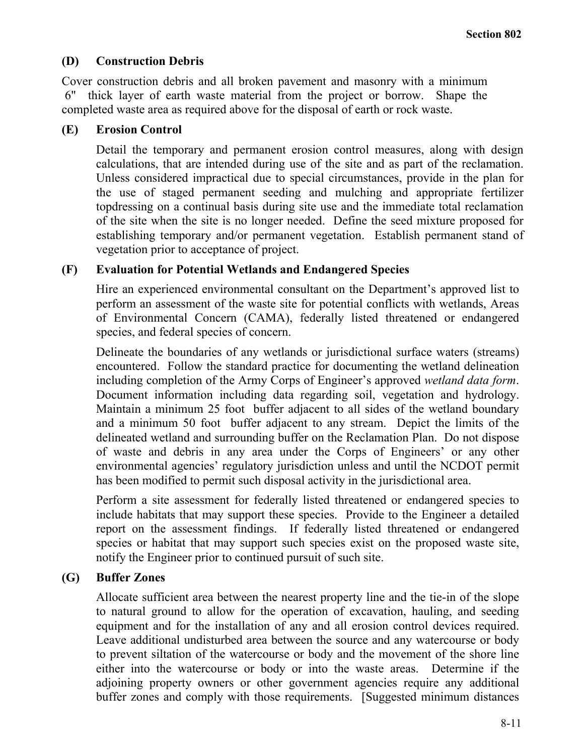# **(D) Construction Debris**

Cover construction debris and all broken pavement and masonry with a minimum 6" thick layer of earth waste material from the project or borrow. Shape the completed waste area as required above for the disposal of earth or rock waste.

# **(E) Erosion Control**

Detail the temporary and permanent erosion control measures, along with design calculations, that are intended during use of the site and as part of the reclamation. Unless considered impractical due to special circumstances, provide in the plan for the use of staged permanent seeding and mulching and appropriate fertilizer topdressing on a continual basis during site use and the immediate total reclamation of the site when the site is no longer needed. Define the seed mixture proposed for establishing temporary and/or permanent vegetation. Establish permanent stand of vegetation prior to acceptance of project.

# **(F) Evaluation for Potential Wetlands and Endangered Species**

Hire an experienced environmental consultant on the Department's approved list to perform an assessment of the waste site for potential conflicts with wetlands, Areas of Environmental Concern (CAMA), federally listed threatened or endangered species, and federal species of concern.

Delineate the boundaries of any wetlands or jurisdictional surface waters (streams) encountered. Follow the standard practice for documenting the wetland delineation including completion of the Army Corps of Engineer's approved *wetland data form*. Document information including data regarding soil, vegetation and hydrology. Maintain a minimum 25 foot buffer adjacent to all sides of the wetland boundary and a minimum 50 foot buffer adjacent to any stream. Depict the limits of the delineated wetland and surrounding buffer on the Reclamation Plan. Do not dispose of waste and debris in any area under the Corps of Engineers' or any other environmental agencies' regulatory jurisdiction unless and until the NCDOT permit has been modified to permit such disposal activity in the jurisdictional area.

Perform a site assessment for federally listed threatened or endangered species to include habitats that may support these species. Provide to the Engineer a detailed report on the assessment findings. If federally listed threatened or endangered species or habitat that may support such species exist on the proposed waste site, notify the Engineer prior to continued pursuit of such site.

# **(G) Buffer Zones**

Allocate sufficient area between the nearest property line and the tie-in of the slope to natural ground to allow for the operation of excavation, hauling, and seeding equipment and for the installation of any and all erosion control devices required. Leave additional undisturbed area between the source and any watercourse or body to prevent siltation of the watercourse or body and the movement of the shore line either into the watercourse or body or into the waste areas. Determine if the adjoining property owners or other government agencies require any additional buffer zones and comply with those requirements. [Suggested minimum distances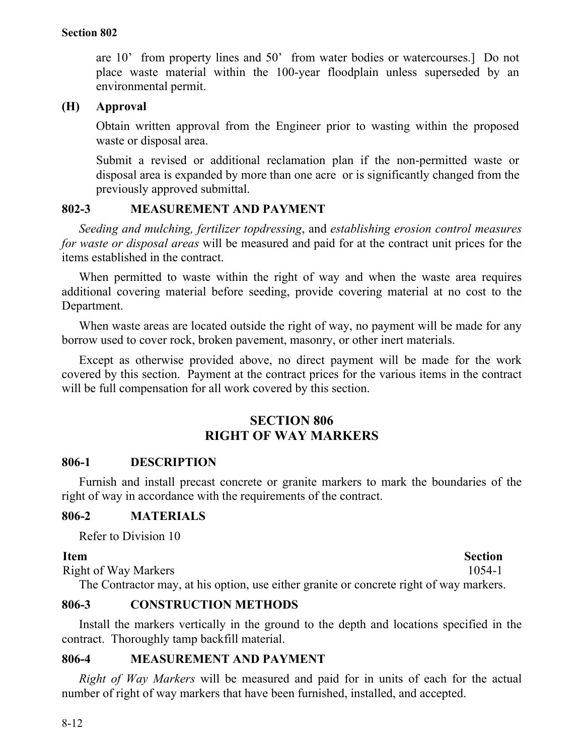are 10' from property lines and 50' from water bodies or watercourses.] Do not place waste material within the 100-year floodplain unless superseded by an environmental permit.

# **(H) Approval**

Obtain written approval from the Engineer prior to wasting within the proposed waste or disposal area.

Submit a revised or additional reclamation plan if the non-permitted waste or disposal area is expanded by more than one acre or is significantly changed from the previously approved submittal.

# **802-3 MEASUREMENT AND PAYMENT**

*Seeding and mulching, fertilizer topdressing*, and *establishing erosion control measures for waste or disposal areas* will be measured and paid for at the contract unit prices for the items established in the contract.

When permitted to waste within the right of way and when the waste area requires additional covering material before seeding, provide covering material at no cost to the Department.

When waste areas are located outside the right of way, no payment will be made for any borrow used to cover rock, broken pavement, masonry, or other inert materials.

Except as otherwise provided above, no direct payment will be made for the work covered by this section. Payment at the contract prices for the various items in the contract will be full compensation for all work covered by this section.

# **SECTION 806 RIGHT OF WAY MARKERS**

# **806-1 DESCRIPTION**

Furnish and install precast concrete or granite markers to mark the boundaries of the right of way in accordance with the requirements of the contract.

# **806-2 MATERIALS**

Refer to Division 10

## **Item** Section

Right of Way Markers 1054-1 The Contractor may, at his option, use either granite or concrete right of way markers.

# **806-3 CONSTRUCTION METHODS**

Install the markers vertically in the ground to the depth and locations specified in the contract. Thoroughly tamp backfill material.

# **806-4 MEASUREMENT AND PAYMENT**

*Right of Way Markers* will be measured and paid for in units of each for the actual number of right of way markers that have been furnished, installed, and accepted.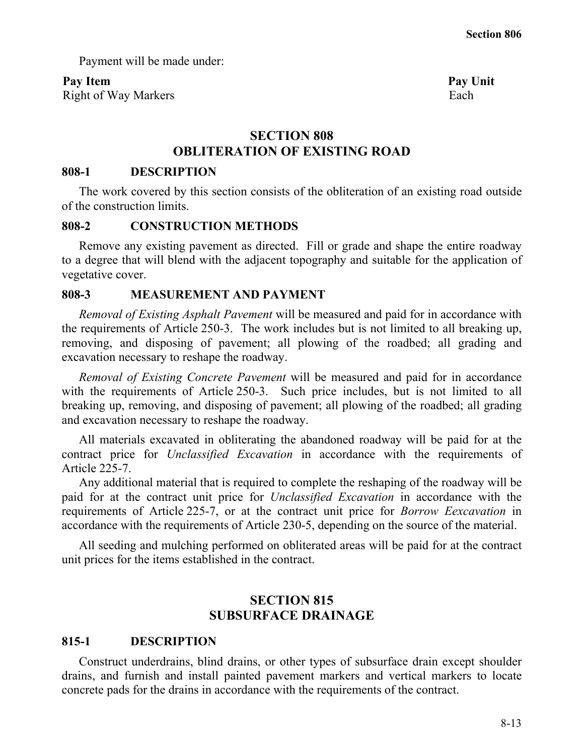Payment will be made under:

# Pay Item **Pay Unit**

Right of Way Markers Each

# **SECTION 808 OBLITERATION OF EXISTING ROAD**

## **808-1 DESCRIPTION**

The work covered by this section consists of the obliteration of an existing road outside of the construction limits.

## **808-2 CONSTRUCTION METHODS**

Remove any existing pavement as directed. Fill or grade and shape the entire roadway to a degree that will blend with the adjacent topography and suitable for the application of vegetative cover.

# **808-3 MEASUREMENT AND PAYMENT**

*Removal of Existing Asphalt Pavement* will be measured and paid for in accordance with the requirements of Article 250-3. The work includes but is not limited to all breaking up, removing, and disposing of pavement; all plowing of the roadbed; all grading and excavation necessary to reshape the roadway.

*Removal of Existing Concrete Pavement* will be measured and paid for in accordance with the requirements of Article 250-3. Such price includes, but is not limited to all breaking up, removing, and disposing of pavement; all plowing of the roadbed; all grading and excavation necessary to reshape the roadway.

All materials excavated in obliterating the abandoned roadway will be paid for at the contract price for *Unclassified Excavation* in accordance with the requirements of Article 225-7.

Any additional material that is required to complete the reshaping of the roadway will be paid for at the contract unit price for *Unclassified Excavation* in accordance with the requirements of Article 225-7, or at the contract unit price for *Borrow Eexcavation* in accordance with the requirements of Article 230-5, depending on the source of the material.

All seeding and mulching performed on obliterated areas will be paid for at the contract unit prices for the items established in the contract.

# **SECTION 815 SUBSURFACE DRAINAGE**

# **815-1 DESCRIPTION**

Construct underdrains, blind drains, or other types of subsurface drain except shoulder drains, and furnish and install painted pavement markers and vertical markers to locate concrete pads for the drains in accordance with the requirements of the contract.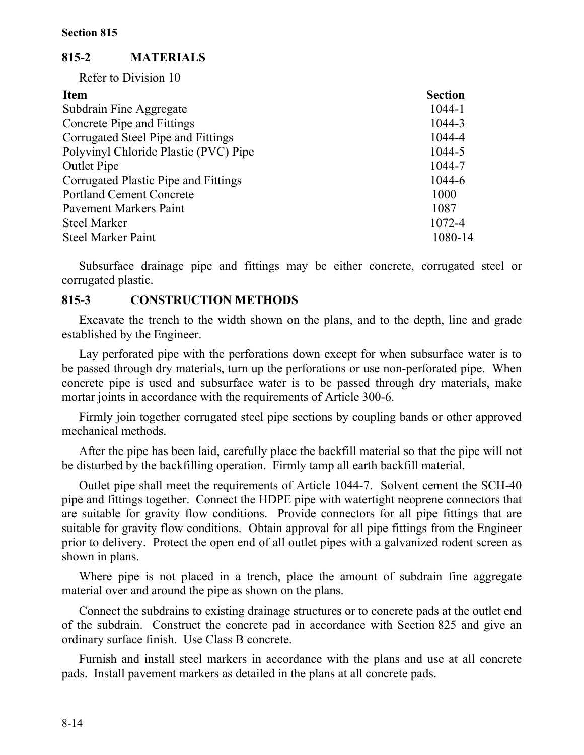# **815-2 MATERIALS**

Refer to Division 10

| <b>Item</b>                           | <b>Section</b> |
|---------------------------------------|----------------|
| Subdrain Fine Aggregate               | 1044-1         |
| Concrete Pipe and Fittings            | 1044-3         |
| Corrugated Steel Pipe and Fittings    | 1044-4         |
| Polyvinyl Chloride Plastic (PVC) Pipe | 1044-5         |
| <b>Outlet Pipe</b>                    | 1044-7         |
| Corrugated Plastic Pipe and Fittings  | 1044-6         |
| <b>Portland Cement Concrete</b>       | 1000           |
| <b>Pavement Markers Paint</b>         | 1087           |
| <b>Steel Marker</b>                   | 1072-4         |
| <b>Steel Marker Paint</b>             | 1080-14        |

Subsurface drainage pipe and fittings may be either concrete, corrugated steel or corrugated plastic.

## **815-3 CONSTRUCTION METHODS**

Excavate the trench to the width shown on the plans, and to the depth, line and grade established by the Engineer.

Lay perforated pipe with the perforations down except for when subsurface water is to be passed through dry materials, turn up the perforations or use non-perforated pipe. When concrete pipe is used and subsurface water is to be passed through dry materials, make mortar joints in accordance with the requirements of Article 300-6.

Firmly join together corrugated steel pipe sections by coupling bands or other approved mechanical methods.

After the pipe has been laid, carefully place the backfill material so that the pipe will not be disturbed by the backfilling operation. Firmly tamp all earth backfill material.

Outlet pipe shall meet the requirements of Article 1044-7. Solvent cement the SCH-40 pipe and fittings together. Connect the HDPE pipe with watertight neoprene connectors that are suitable for gravity flow conditions. Provide connectors for all pipe fittings that are suitable for gravity flow conditions. Obtain approval for all pipe fittings from the Engineer prior to delivery. Protect the open end of all outlet pipes with a galvanized rodent screen as shown in plans.

Where pipe is not placed in a trench, place the amount of subdrain fine aggregate material over and around the pipe as shown on the plans.

Connect the subdrains to existing drainage structures or to concrete pads at the outlet end of the subdrain. Construct the concrete pad in accordance with Section 825 and give an ordinary surface finish. Use Class B concrete.

Furnish and install steel markers in accordance with the plans and use at all concrete pads. Install pavement markers as detailed in the plans at all concrete pads.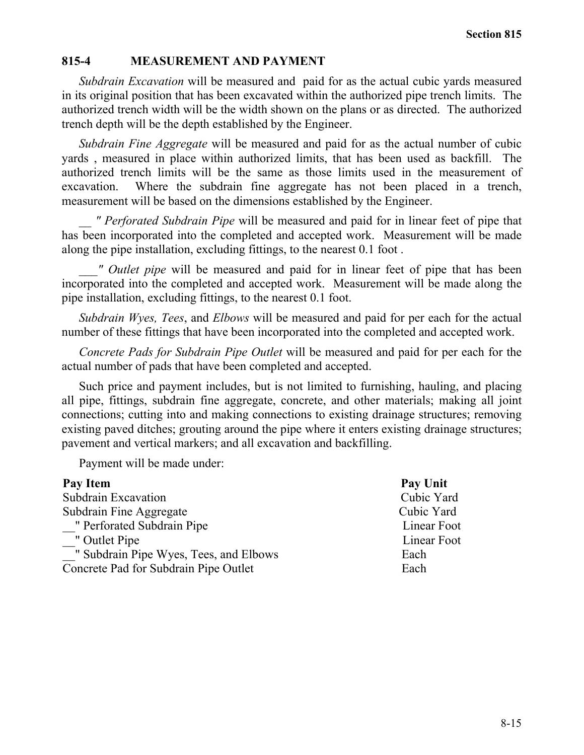# **815-4 MEASUREMENT AND PAYMENT**

*Subdrain Excavation* will be measured and paid for as the actual cubic yards measured in its original position that has been excavated within the authorized pipe trench limits. The authorized trench width will be the width shown on the plans or as directed. The authorized trench depth will be the depth established by the Engineer.

*Subdrain Fine Aggregate* will be measured and paid for as the actual number of cubic yards , measured in place within authorized limits, that has been used as backfill. The authorized trench limits will be the same as those limits used in the measurement of excavation. Where the subdrain fine aggregate has not been placed in a trench, measurement will be based on the dimensions established by the Engineer.

*\_\_ " Perforated Subdrain Pipe* will be measured and paid for in linear feet of pipe that has been incorporated into the completed and accepted work. Measurement will be made along the pipe installation, excluding fittings, to the nearest 0.1 foot .

*\_\_\_" Outlet pipe* will be measured and paid for in linear feet of pipe that has been incorporated into the completed and accepted work. Measurement will be made along the pipe installation, excluding fittings, to the nearest 0.1 foot.

*Subdrain Wyes, Tees*, and *Elbows* will be measured and paid for per each for the actual number of these fittings that have been incorporated into the completed and accepted work.

*Concrete Pads for Subdrain Pipe Outlet* will be measured and paid for per each for the actual number of pads that have been completed and accepted.

Such price and payment includes, but is not limited to furnishing, hauling, and placing all pipe, fittings, subdrain fine aggregate, concrete, and other materials; making all joint connections; cutting into and making connections to existing drainage structures; removing existing paved ditches; grouting around the pipe where it enters existing drainage structures; pavement and vertical markers; and all excavation and backfilling.

Payment will be made under:

| Pay Item                               | Pay Unit    |
|----------------------------------------|-------------|
| Subdrain Excavation                    | Cubic Yard  |
| Subdrain Fine Aggregate                | Cubic Yard  |
| " Perforated Subdrain Pipe             | Linear Foot |
| " Outlet Pipe                          | Linear Foot |
| " Subdrain Pipe Wyes, Tees, and Elbows | Each        |
| Concrete Pad for Subdrain Pipe Outlet  | Each        |
|                                        |             |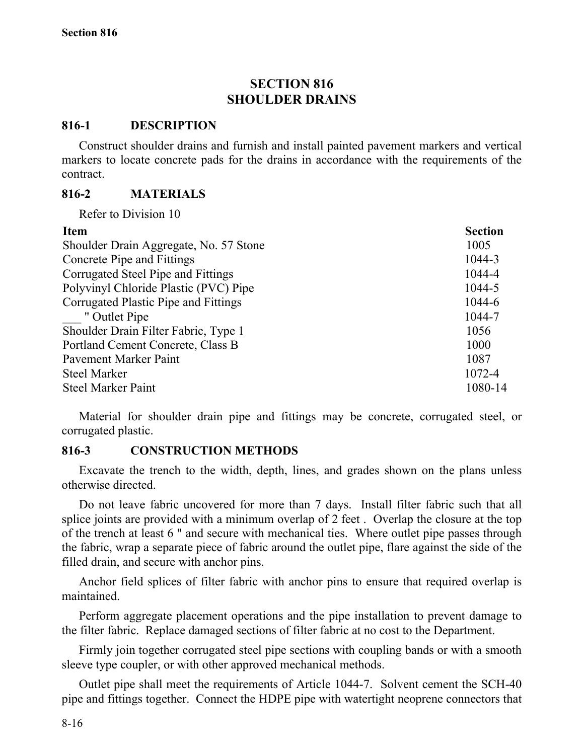# **SECTION 816 SHOULDER DRAINS**

## **816-1 DESCRIPTION**

Construct shoulder drains and furnish and install painted pavement markers and vertical markers to locate concrete pads for the drains in accordance with the requirements of the contract.

# **816-2 MATERIALS**

Refer to Division 10

| Shoulder Drain Aggregate, No. 57 Stone<br>1005<br>Concrete Pipe and Fittings<br>1044-3<br>Corrugated Steel Pipe and Fittings<br>1044-4<br>Polyvinyl Chloride Plastic (PVC) Pipe<br>1044-5<br>Corrugated Plastic Pipe and Fittings<br>1044-6<br>" Outlet Pipe<br>1044-7<br>Shoulder Drain Filter Fabric, Type 1<br>1056<br>Portland Cement Concrete, Class B<br>1000<br><b>Pavement Marker Paint</b><br>1087<br>1072-4<br><b>Steel Marker</b><br><b>Steel Marker Paint</b> | <b>Item</b> | <b>Section</b> |
|---------------------------------------------------------------------------------------------------------------------------------------------------------------------------------------------------------------------------------------------------------------------------------------------------------------------------------------------------------------------------------------------------------------------------------------------------------------------------|-------------|----------------|
|                                                                                                                                                                                                                                                                                                                                                                                                                                                                           |             |                |
|                                                                                                                                                                                                                                                                                                                                                                                                                                                                           |             |                |
|                                                                                                                                                                                                                                                                                                                                                                                                                                                                           |             |                |
|                                                                                                                                                                                                                                                                                                                                                                                                                                                                           |             |                |
|                                                                                                                                                                                                                                                                                                                                                                                                                                                                           |             |                |
|                                                                                                                                                                                                                                                                                                                                                                                                                                                                           |             |                |
|                                                                                                                                                                                                                                                                                                                                                                                                                                                                           |             |                |
|                                                                                                                                                                                                                                                                                                                                                                                                                                                                           |             |                |
|                                                                                                                                                                                                                                                                                                                                                                                                                                                                           |             |                |
|                                                                                                                                                                                                                                                                                                                                                                                                                                                                           |             |                |
|                                                                                                                                                                                                                                                                                                                                                                                                                                                                           |             | 1080-14        |

Material for shoulder drain pipe and fittings may be concrete, corrugated steel, or corrugated plastic.

# **816-3 CONSTRUCTION METHODS**

Excavate the trench to the width, depth, lines, and grades shown on the plans unless otherwise directed.

Do not leave fabric uncovered for more than 7 days. Install filter fabric such that all splice joints are provided with a minimum overlap of 2 feet . Overlap the closure at the top of the trench at least 6 " and secure with mechanical ties. Where outlet pipe passes through the fabric, wrap a separate piece of fabric around the outlet pipe, flare against the side of the filled drain, and secure with anchor pins.

Anchor field splices of filter fabric with anchor pins to ensure that required overlap is maintained.

Perform aggregate placement operations and the pipe installation to prevent damage to the filter fabric. Replace damaged sections of filter fabric at no cost to the Department.

Firmly join together corrugated steel pipe sections with coupling bands or with a smooth sleeve type coupler, or with other approved mechanical methods.

Outlet pipe shall meet the requirements of Article 1044-7. Solvent cement the SCH-40 pipe and fittings together. Connect the HDPE pipe with watertight neoprene connectors that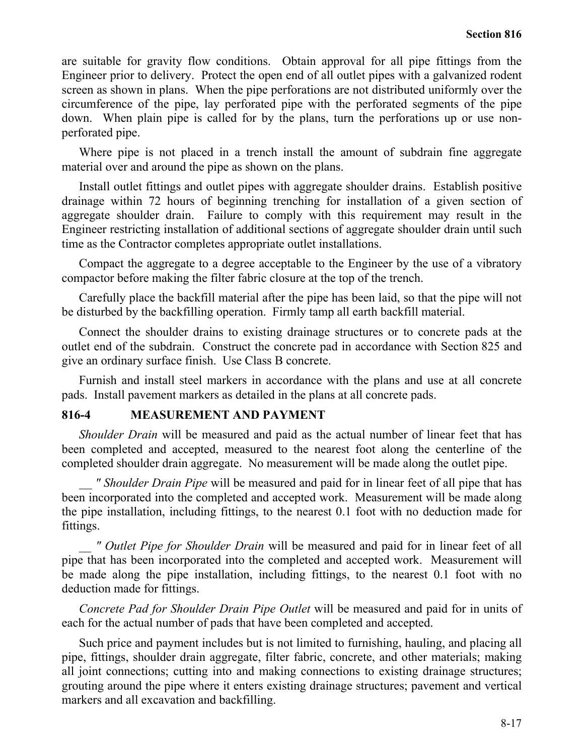are suitable for gravity flow conditions. Obtain approval for all pipe fittings from the Engineer prior to delivery. Protect the open end of all outlet pipes with a galvanized rodent screen as shown in plans. When the pipe perforations are not distributed uniformly over the circumference of the pipe, lay perforated pipe with the perforated segments of the pipe down. When plain pipe is called for by the plans, turn the perforations up or use nonperforated pipe.

Where pipe is not placed in a trench install the amount of subdrain fine aggregate material over and around the pipe as shown on the plans.

Install outlet fittings and outlet pipes with aggregate shoulder drains. Establish positive drainage within 72 hours of beginning trenching for installation of a given section of aggregate shoulder drain. Failure to comply with this requirement may result in the Engineer restricting installation of additional sections of aggregate shoulder drain until such time as the Contractor completes appropriate outlet installations.

Compact the aggregate to a degree acceptable to the Engineer by the use of a vibratory compactor before making the filter fabric closure at the top of the trench.

Carefully place the backfill material after the pipe has been laid, so that the pipe will not be disturbed by the backfilling operation. Firmly tamp all earth backfill material.

Connect the shoulder drains to existing drainage structures or to concrete pads at the outlet end of the subdrain. Construct the concrete pad in accordance with Section 825 and give an ordinary surface finish. Use Class B concrete.

Furnish and install steel markers in accordance with the plans and use at all concrete pads. Install pavement markers as detailed in the plans at all concrete pads.

## **816-4 MEASUREMENT AND PAYMENT**

*Shoulder Drain* will be measured and paid as the actual number of linear feet that has been completed and accepted, measured to the nearest foot along the centerline of the completed shoulder drain aggregate. No measurement will be made along the outlet pipe.

 *" Shoulder Drain Pipe* will be measured and paid for in linear feet of all pipe that has been incorporated into the completed and accepted work. Measurement will be made along the pipe installation, including fittings, to the nearest 0.1 foot with no deduction made for fittings.

*\_\_ " Outlet Pipe for Shoulder Drain* will be measured and paid for in linear feet of all pipe that has been incorporated into the completed and accepted work. Measurement will be made along the pipe installation, including fittings, to the nearest 0.1 foot with no deduction made for fittings.

*Concrete Pad for Shoulder Drain Pipe Outlet* will be measured and paid for in units of each for the actual number of pads that have been completed and accepted.

Such price and payment includes but is not limited to furnishing, hauling, and placing all pipe, fittings, shoulder drain aggregate, filter fabric, concrete, and other materials; making all joint connections; cutting into and making connections to existing drainage structures; grouting around the pipe where it enters existing drainage structures; pavement and vertical markers and all excavation and backfilling.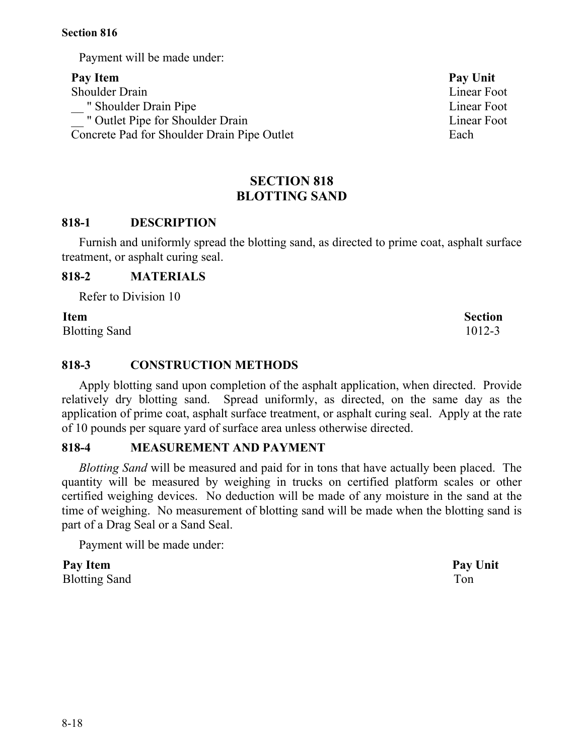8-18

**Section 816**

Payment will be made under:

Pay Item **Pay Unit** Shoulder Drain Linear Foot \_\_ " Shoulder Drain Pipe Linear Foot \_\_ " Outlet Pipe for Shoulder Drain Linear Foot Concrete Pad for Shoulder Drain Pipe Outlet Each

# **SECTION 818 BLOTTING SAND**

# **818-1 DESCRIPTION**

Furnish and uniformly spread the blotting sand, as directed to prime coat, asphalt surface treatment, or asphalt curing seal.

# **818-2 MATERIALS**

Refer to Division 10

Blotting Sand 1012-3

# **818-3 CONSTRUCTION METHODS**

Apply blotting sand upon completion of the asphalt application, when directed. Provide relatively dry blotting sand. Spread uniformly, as directed, on the same day as the application of prime coat, asphalt surface treatment, or asphalt curing seal. Apply at the rate of 10 pounds per square yard of surface area unless otherwise directed.

# **818-4 MEASUREMENT AND PAYMENT**

*Blotting Sand* will be measured and paid for in tons that have actually been placed. The quantity will be measured by weighing in trucks on certified platform scales or other certified weighing devices. No deduction will be made of any moisture in the sand at the time of weighing. No measurement of blotting sand will be made when the blotting sand is part of a Drag Seal or a Sand Seal.

Payment will be made under:

**Pay Item Pay Unit** Blotting Sand Ton

**Item Section**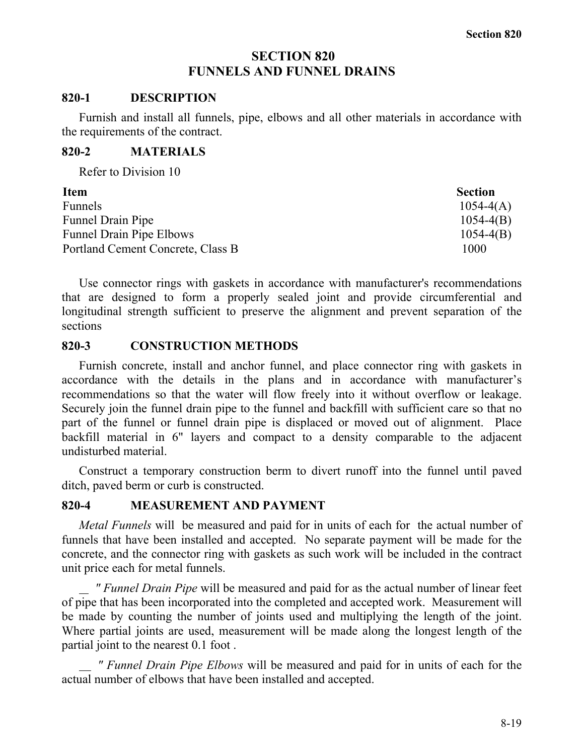# **SECTION 820 FUNNELS AND FUNNEL DRAINS**

#### **820-1 DESCRIPTION**

Furnish and install all funnels, pipe, elbows and all other materials in accordance with the requirements of the contract.

#### **820-2 MATERIALS**

Refer to Division 10

| <b>Item</b>                       | <b>Section</b> |
|-----------------------------------|----------------|
| <b>Funnels</b>                    | $1054 - 4(A)$  |
| <b>Funnel Drain Pipe</b>          | $1054 - 4(B)$  |
| <b>Funnel Drain Pipe Elbows</b>   | $1054 - 4(B)$  |
| Portland Cement Concrete, Class B | 1000           |

Use connector rings with gaskets in accordance with manufacturer's recommendations that are designed to form a properly sealed joint and provide circumferential and longitudinal strength sufficient to preserve the alignment and prevent separation of the sections

#### **820-3 CONSTRUCTION METHODS**

Furnish concrete, install and anchor funnel, and place connector ring with gaskets in accordance with the details in the plans and in accordance with manufacturer's recommendations so that the water will flow freely into it without overflow or leakage. Securely join the funnel drain pipe to the funnel and backfill with sufficient care so that no part of the funnel or funnel drain pipe is displaced or moved out of alignment. Place backfill material in 6" layers and compact to a density comparable to the adjacent undisturbed material.

Construct a temporary construction berm to divert runoff into the funnel until paved ditch, paved berm or curb is constructed.

## **820-4 MEASUREMENT AND PAYMENT**

*Metal Funnels* will be measured and paid for in units of each for the actual number of funnels that have been installed and accepted. No separate payment will be made for the concrete, and the connector ring with gaskets as such work will be included in the contract unit price each for metal funnels.

 *" Funnel Drain Pipe* will be measured and paid for as the actual number of linear feet of pipe that has been incorporated into the completed and accepted work. Measurement will be made by counting the number of joints used and multiplying the length of the joint. Where partial joints are used, measurement will be made along the longest length of the partial joint to the nearest 0.1 foot .

 *" Funnel Drain Pipe Elbows* will be measured and paid for in units of each for the actual number of elbows that have been installed and accepted.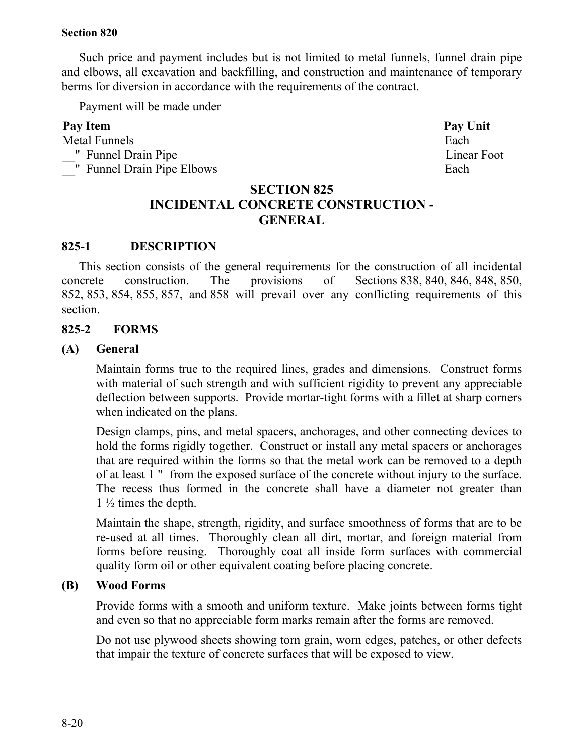Such price and payment includes but is not limited to metal funnels, funnel drain pipe and elbows, all excavation and backfilling, and construction and maintenance of temporary berms for diversion in accordance with the requirements of the contract.

Payment will be made under

# Pay Item **Pay Unit**

Metal Funnels **Each** \_\_" Funnel Drain Pipe Linear Foot <sup>1</sup> Funnel Drain Pipe Elbows Each

# **SECTION 825 INCIDENTAL CONCRETE CONSTRUCTION - GENERAL**

# **825-1 DESCRIPTION**

This section consists of the general requirements for the construction of all incidental concrete construction. The provisions of Sections 838, 840, 846, 848, 850, 852, 853, 854, 855, 857, and 858 will prevail over any conflicting requirements of this section.

## **825-2 FORMS**

## **(A) General**

Maintain forms true to the required lines, grades and dimensions. Construct forms with material of such strength and with sufficient rigidity to prevent any appreciable deflection between supports. Provide mortar-tight forms with a fillet at sharp corners when indicated on the plans.

Design clamps, pins, and metal spacers, anchorages, and other connecting devices to hold the forms rigidly together. Construct or install any metal spacers or anchorages that are required within the forms so that the metal work can be removed to a depth of at least 1 " from the exposed surface of the concrete without injury to the surface. The recess thus formed in the concrete shall have a diameter not greater than  $1\frac{1}{2}$  times the depth.

Maintain the shape, strength, rigidity, and surface smoothness of forms that are to be re-used at all times. Thoroughly clean all dirt, mortar, and foreign material from forms before reusing. Thoroughly coat all inside form surfaces with commercial quality form oil or other equivalent coating before placing concrete.

## **(B) Wood Forms**

Provide forms with a smooth and uniform texture. Make joints between forms tight and even so that no appreciable form marks remain after the forms are removed.

Do not use plywood sheets showing torn grain, worn edges, patches, or other defects that impair the texture of concrete surfaces that will be exposed to view.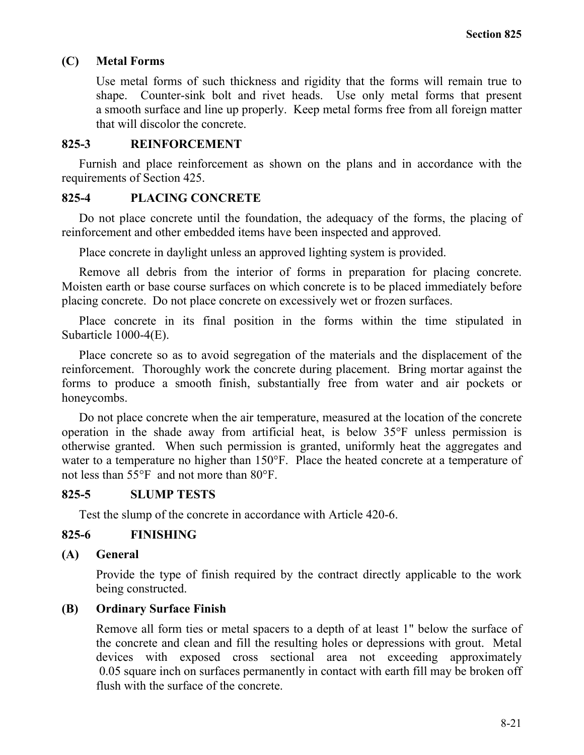# **(C) Metal Forms**

Use metal forms of such thickness and rigidity that the forms will remain true to shape. Counter-sink bolt and rivet heads. Use only metal forms that present a smooth surface and line up properly. Keep metal forms free from all foreign matter that will discolor the concrete.

## **825-3 REINFORCEMENT**

Furnish and place reinforcement as shown on the plans and in accordance with the requirements of Section 425.

# **825-4 PLACING CONCRETE**

Do not place concrete until the foundation, the adequacy of the forms, the placing of reinforcement and other embedded items have been inspected and approved.

Place concrete in daylight unless an approved lighting system is provided.

Remove all debris from the interior of forms in preparation for placing concrete. Moisten earth or base course surfaces on which concrete is to be placed immediately before placing concrete. Do not place concrete on excessively wet or frozen surfaces.

Place concrete in its final position in the forms within the time stipulated in Subarticle 1000-4(E).

Place concrete so as to avoid segregation of the materials and the displacement of the reinforcement. Thoroughly work the concrete during placement. Bring mortar against the forms to produce a smooth finish, substantially free from water and air pockets or honeycombs.

Do not place concrete when the air temperature, measured at the location of the concrete operation in the shade away from artificial heat, is below 35°F unless permission is otherwise granted. When such permission is granted, uniformly heat the aggregates and water to a temperature no higher than 150°F. Place the heated concrete at a temperature of not less than 55°F and not more than 80°F.

# **825-5 SLUMP TESTS**

Test the slump of the concrete in accordance with Article 420-6.

# **825-6 FINISHING**

# **(A) General**

Provide the type of finish required by the contract directly applicable to the work being constructed.

# **(B) Ordinary Surface Finish**

Remove all form ties or metal spacers to a depth of at least 1" below the surface of the concrete and clean and fill the resulting holes or depressions with grout. Metal devices with exposed cross sectional area not exceeding approximately 0.05 square inch on surfaces permanently in contact with earth fill may be broken off flush with the surface of the concrete.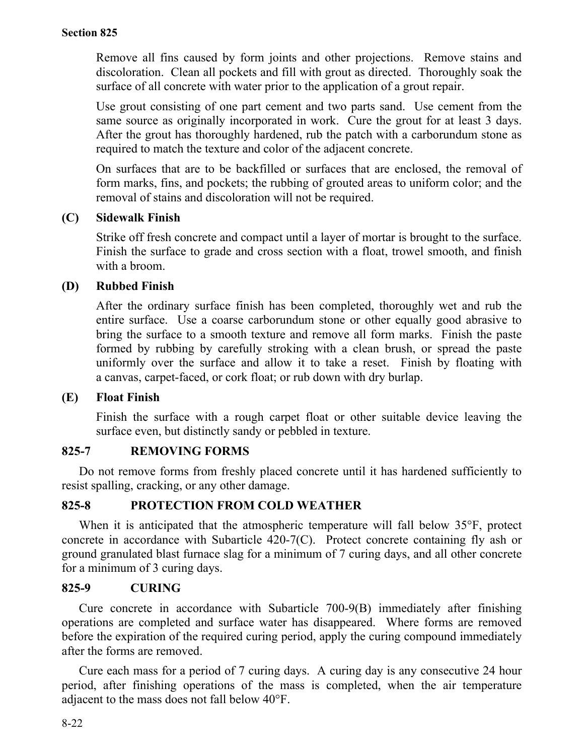Remove all fins caused by form joints and other projections. Remove stains and discoloration. Clean all pockets and fill with grout as directed. Thoroughly soak the surface of all concrete with water prior to the application of a grout repair.

Use grout consisting of one part cement and two parts sand. Use cement from the same source as originally incorporated in work. Cure the grout for at least 3 days. After the grout has thoroughly hardened, rub the patch with a carborundum stone as required to match the texture and color of the adjacent concrete.

On surfaces that are to be backfilled or surfaces that are enclosed, the removal of form marks, fins, and pockets; the rubbing of grouted areas to uniform color; and the removal of stains and discoloration will not be required.

# **(C) Sidewalk Finish**

Strike off fresh concrete and compact until a layer of mortar is brought to the surface. Finish the surface to grade and cross section with a float, trowel smooth, and finish with a broom.

# **(D) Rubbed Finish**

After the ordinary surface finish has been completed, thoroughly wet and rub the entire surface. Use a coarse carborundum stone or other equally good abrasive to bring the surface to a smooth texture and remove all form marks. Finish the paste formed by rubbing by carefully stroking with a clean brush, or spread the paste uniformly over the surface and allow it to take a reset. Finish by floating with a canvas, carpet-faced, or cork float; or rub down with dry burlap.

# **(E) Float Finish**

Finish the surface with a rough carpet float or other suitable device leaving the surface even, but distinctly sandy or pebbled in texture.

# **825-7 REMOVING FORMS**

Do not remove forms from freshly placed concrete until it has hardened sufficiently to resist spalling, cracking, or any other damage.

# **825-8 PROTECTION FROM COLD WEATHER**

When it is anticipated that the atmospheric temperature will fall below 35°F, protect concrete in accordance with Subarticle 420-7(C). Protect concrete containing fly ash or ground granulated blast furnace slag for a minimum of 7 curing days, and all other concrete for a minimum of 3 curing days.

# **825-9 CURING**

Cure concrete in accordance with Subarticle 700-9(B) immediately after finishing operations are completed and surface water has disappeared. Where forms are removed before the expiration of the required curing period, apply the curing compound immediately after the forms are removed.

Cure each mass for a period of 7 curing days. A curing day is any consecutive 24 hour period, after finishing operations of the mass is completed, when the air temperature adjacent to the mass does not fall below 40°F.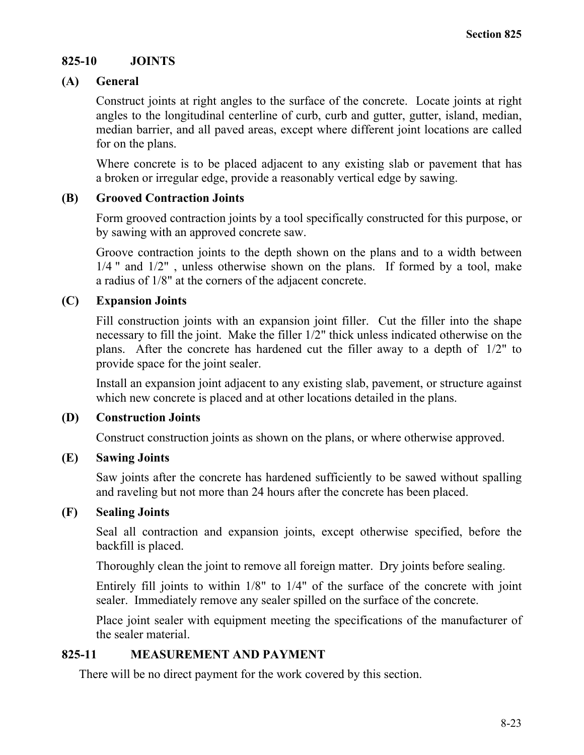# **825-10 JOINTS**

# **(A) General**

Construct joints at right angles to the surface of the concrete. Locate joints at right angles to the longitudinal centerline of curb, curb and gutter, gutter, island, median, median barrier, and all paved areas, except where different joint locations are called for on the plans.

Where concrete is to be placed adjacent to any existing slab or pavement that has a broken or irregular edge, provide a reasonably vertical edge by sawing.

# **(B) Grooved Contraction Joints**

Form grooved contraction joints by a tool specifically constructed for this purpose, or by sawing with an approved concrete saw.

Groove contraction joints to the depth shown on the plans and to a width between 1/4 " and 1/2", unless otherwise shown on the plans. If formed by a tool, make a radius of 1/8" at the corners of the adjacent concrete.

# **(C) Expansion Joints**

Fill construction joints with an expansion joint filler. Cut the filler into the shape necessary to fill the joint. Make the filler 1/2" thick unless indicated otherwise on the plans. After the concrete has hardened cut the filler away to a depth of 1/2" to provide space for the joint sealer.

Install an expansion joint adjacent to any existing slab, pavement, or structure against which new concrete is placed and at other locations detailed in the plans.

# **(D) Construction Joints**

Construct construction joints as shown on the plans, or where otherwise approved.

# **(E) Sawing Joints**

Saw joints after the concrete has hardened sufficiently to be sawed without spalling and raveling but not more than 24 hours after the concrete has been placed.

# **(F) Sealing Joints**

Seal all contraction and expansion joints, except otherwise specified, before the backfill is placed.

Thoroughly clean the joint to remove all foreign matter. Dry joints before sealing.

Entirely fill joints to within 1/8" to 1/4" of the surface of the concrete with joint sealer. Immediately remove any sealer spilled on the surface of the concrete.

Place joint sealer with equipment meeting the specifications of the manufacturer of the sealer material.

# **825-11 MEASUREMENT AND PAYMENT**

There will be no direct payment for the work covered by this section.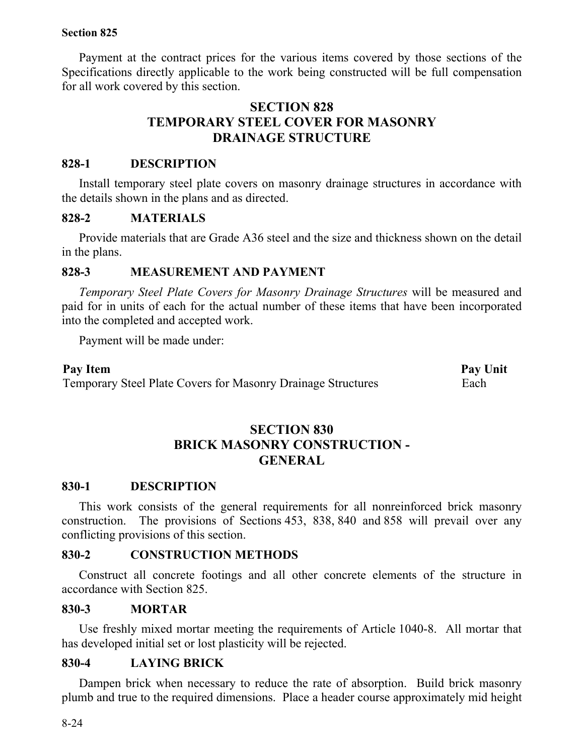Payment at the contract prices for the various items covered by those sections of the Specifications directly applicable to the work being constructed will be full compensation for all work covered by this section.

# **SECTION 828 TEMPORARY STEEL COVER FOR MASONRY DRAINAGE STRUCTURE**

# **828-1 DESCRIPTION**

Install temporary steel plate covers on masonry drainage structures in accordance with the details shown in the plans and as directed.

# **828-2 MATERIALS**

Provide materials that are Grade A36 steel and the size and thickness shown on the detail in the plans.

# **828-3 MEASUREMENT AND PAYMENT**

*Temporary Steel Plate Covers for Masonry Drainage Structures* will be measured and paid for in units of each for the actual number of these items that have been incorporated into the completed and accepted work.

Payment will be made under:

Pay Item Pay Unit Temporary Steel Plate Covers for Masonry Drainage Structures Each

# **SECTION 830 BRICK MASONRY CONSTRUCTION - GENERAL**

# **830-1 DESCRIPTION**

This work consists of the general requirements for all nonreinforced brick masonry construction. The provisions of Sections 453, 838, 840 and 858 will prevail over any conflicting provisions of this section.

# **830-2 CONSTRUCTION METHODS**

Construct all concrete footings and all other concrete elements of the structure in accordance with Section 825.

# **830-3 MORTAR**

Use freshly mixed mortar meeting the requirements of Article 1040-8. All mortar that has developed initial set or lost plasticity will be rejected.

# **830-4 LAYING BRICK**

Dampen brick when necessary to reduce the rate of absorption. Build brick masonry plumb and true to the required dimensions. Place a header course approximately mid height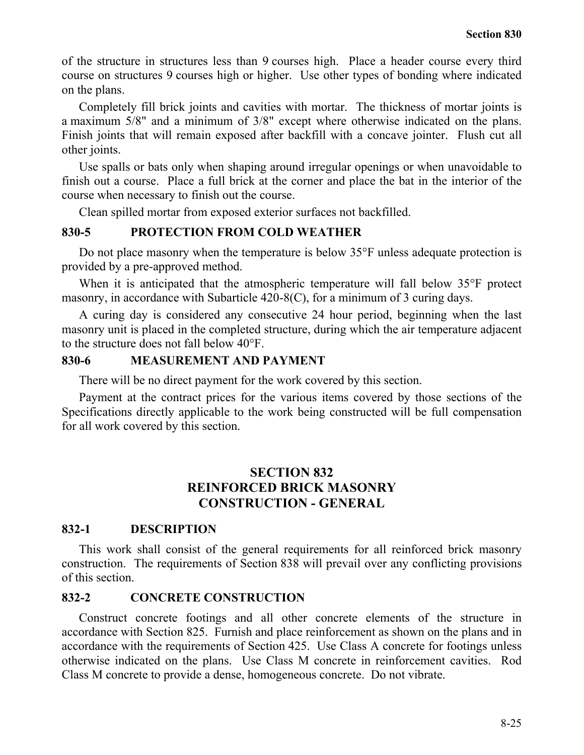of the structure in structures less than 9 courses high. Place a header course every third course on structures 9 courses high or higher. Use other types of bonding where indicated on the plans.

Completely fill brick joints and cavities with mortar. The thickness of mortar joints is a maximum 5/8" and a minimum of 3/8" except where otherwise indicated on the plans. Finish joints that will remain exposed after backfill with a concave jointer. Flush cut all other joints.

Use spalls or bats only when shaping around irregular openings or when unavoidable to finish out a course. Place a full brick at the corner and place the bat in the interior of the course when necessary to finish out the course.

Clean spilled mortar from exposed exterior surfaces not backfilled.

## **830-5 PROTECTION FROM COLD WEATHER**

Do not place masonry when the temperature is below 35°F unless adequate protection is provided by a pre-approved method.

When it is anticipated that the atmospheric temperature will fall below 35°F protect masonry, in accordance with Subarticle 420-8(C), for a minimum of 3 curing days.

A curing day is considered any consecutive 24 hour period, beginning when the last masonry unit is placed in the completed structure, during which the air temperature adjacent to the structure does not fall below 40°F.

## **830-6 MEASUREMENT AND PAYMENT**

There will be no direct payment for the work covered by this section.

Payment at the contract prices for the various items covered by those sections of the Specifications directly applicable to the work being constructed will be full compensation for all work covered by this section.

# **SECTION 832 REINFORCED BRICK MASONRY CONSTRUCTION - GENERAL**

## **832-1 DESCRIPTION**

This work shall consist of the general requirements for all reinforced brick masonry construction. The requirements of Section 838 will prevail over any conflicting provisions of this section.

## **832-2 CONCRETE CONSTRUCTION**

Construct concrete footings and all other concrete elements of the structure in accordance with Section 825. Furnish and place reinforcement as shown on the plans and in accordance with the requirements of Section 425. Use Class A concrete for footings unless otherwise indicated on the plans. Use Class M concrete in reinforcement cavities. Rod Class M concrete to provide a dense, homogeneous concrete. Do not vibrate.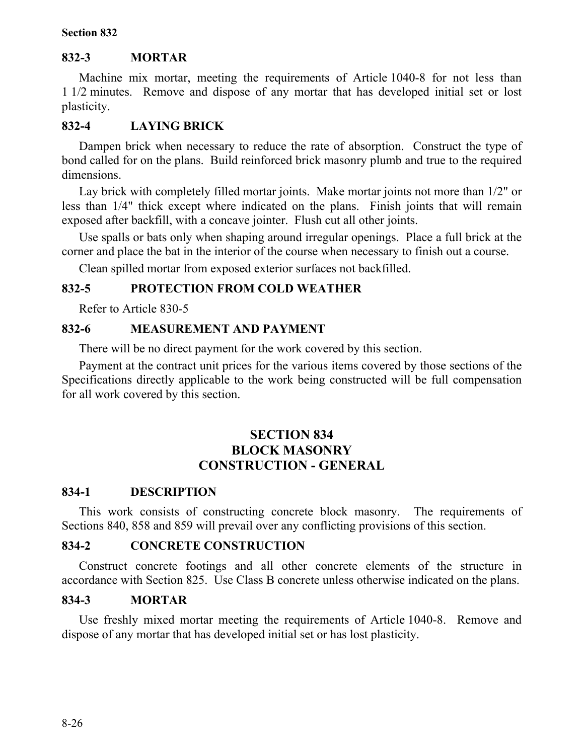# **832-3 MORTAR**

Machine mix mortar, meeting the requirements of Article 1040-8 for not less than 1 1/2 minutes. Remove and dispose of any mortar that has developed initial set or lost plasticity.

# **832-4 LAYING BRICK**

Dampen brick when necessary to reduce the rate of absorption. Construct the type of bond called for on the plans. Build reinforced brick masonry plumb and true to the required dimensions.

Lay brick with completely filled mortar joints. Make mortar joints not more than 1/2" or less than 1/4" thick except where indicated on the plans. Finish joints that will remain exposed after backfill, with a concave jointer. Flush cut all other joints.

Use spalls or bats only when shaping around irregular openings. Place a full brick at the corner and place the bat in the interior of the course when necessary to finish out a course.

Clean spilled mortar from exposed exterior surfaces not backfilled.

# **832-5 PROTECTION FROM COLD WEATHER**

Refer to Article 830-5

# **832-6 MEASUREMENT AND PAYMENT**

There will be no direct payment for the work covered by this section.

Payment at the contract unit prices for the various items covered by those sections of the Specifications directly applicable to the work being constructed will be full compensation for all work covered by this section.

# **SECTION 834 BLOCK MASONRY CONSTRUCTION - GENERAL**

# **834-1 DESCRIPTION**

This work consists of constructing concrete block masonry. The requirements of Sections 840, 858 and 859 will prevail over any conflicting provisions of this section.

# **834-2 CONCRETE CONSTRUCTION**

Construct concrete footings and all other concrete elements of the structure in accordance with Section 825. Use Class B concrete unless otherwise indicated on the plans.

# **834-3 MORTAR**

Use freshly mixed mortar meeting the requirements of Article 1040-8. Remove and dispose of any mortar that has developed initial set or has lost plasticity.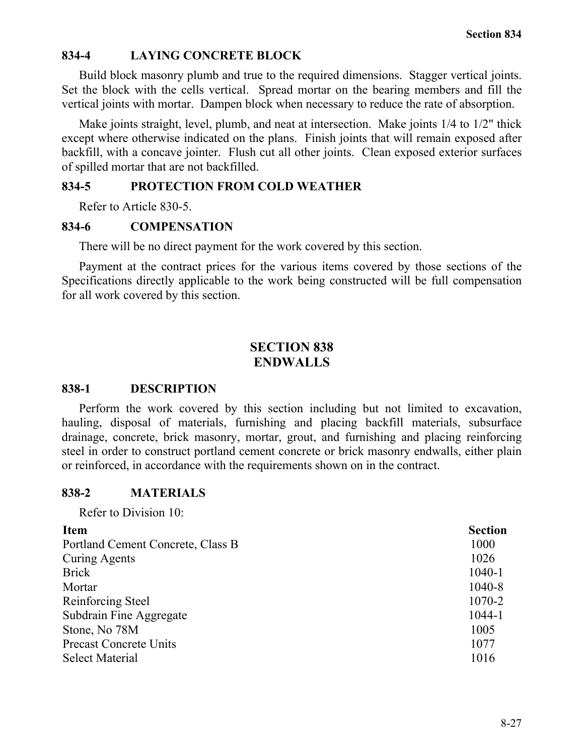# **834-4 LAYING CONCRETE BLOCK**

Build block masonry plumb and true to the required dimensions. Stagger vertical joints. Set the block with the cells vertical. Spread mortar on the bearing members and fill the vertical joints with mortar. Dampen block when necessary to reduce the rate of absorption.

Make joints straight, level, plumb, and neat at intersection. Make joints 1/4 to 1/2" thick except where otherwise indicated on the plans. Finish joints that will remain exposed after backfill, with a concave jointer. Flush cut all other joints. Clean exposed exterior surfaces of spilled mortar that are not backfilled.

## **834-5 PROTECTION FROM COLD WEATHER**

Refer to Article 830-5.

#### **834-6 COMPENSATION**

There will be no direct payment for the work covered by this section.

Payment at the contract prices for the various items covered by those sections of the Specifications directly applicable to the work being constructed will be full compensation for all work covered by this section.

# **SECTION 838 ENDWALLS**

#### **838-1 DESCRIPTION**

Perform the work covered by this section including but not limited to excavation, hauling, disposal of materials, furnishing and placing backfill materials, subsurface drainage, concrete, brick masonry, mortar, grout, and furnishing and placing reinforcing steel in order to construct portland cement concrete or brick masonry endwalls, either plain or reinforced, in accordance with the requirements shown on in the contract.

## **838-2 MATERIALS**

Refer to Division 10:

# **Item Section** Portland Cement Concrete, Class B 1000 Curing Agents 1026 Brick 1040-1 Mortar 1040-8 Reinforcing Steel 1070-2 Subdrain Fine Aggregate 1044-1 Stone, No 78M 1005 Precast Concrete Units 1077 Select Material 1016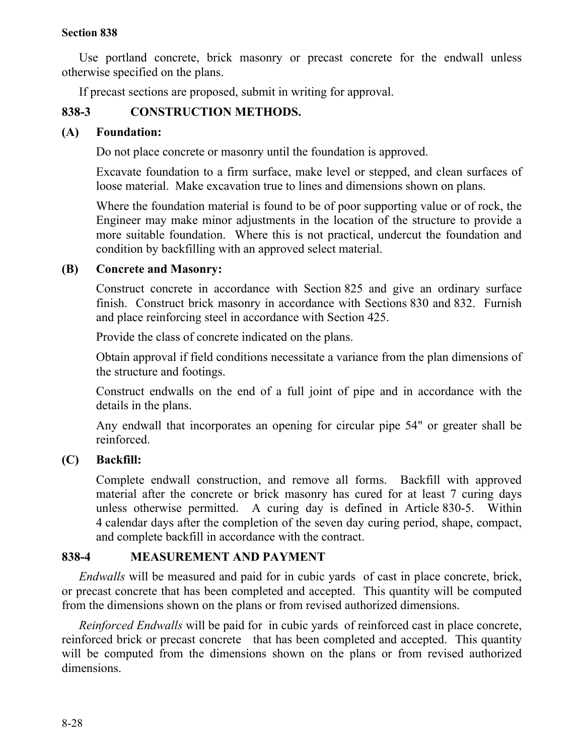Use portland concrete, brick masonry or precast concrete for the endwall unless otherwise specified on the plans.

If precast sections are proposed, submit in writing for approval.

# **838-3 CONSTRUCTION METHODS.**

## **(A) Foundation:**

Do not place concrete or masonry until the foundation is approved.

Excavate foundation to a firm surface, make level or stepped, and clean surfaces of loose material. Make excavation true to lines and dimensions shown on plans.

Where the foundation material is found to be of poor supporting value or of rock, the Engineer may make minor adjustments in the location of the structure to provide a more suitable foundation. Where this is not practical, undercut the foundation and condition by backfilling with an approved select material.

## **(B) Concrete and Masonry:**

Construct concrete in accordance with Section 825 and give an ordinary surface finish. Construct brick masonry in accordance with Sections 830 and 832. Furnish and place reinforcing steel in accordance with Section 425.

Provide the class of concrete indicated on the plans.

Obtain approval if field conditions necessitate a variance from the plan dimensions of the structure and footings.

Construct endwalls on the end of a full joint of pipe and in accordance with the details in the plans.

Any endwall that incorporates an opening for circular pipe 54" or greater shall be reinforced.

# **(C) Backfill:**

Complete endwall construction, and remove all forms. Backfill with approved material after the concrete or brick masonry has cured for at least 7 curing days unless otherwise permitted. A curing day is defined in Article 830-5. Within 4 calendar days after the completion of the seven day curing period, shape, compact, and complete backfill in accordance with the contract.

# **838-4 MEASUREMENT AND PAYMENT**

*Endwalls* will be measured and paid for in cubic yards of cast in place concrete, brick, or precast concrete that has been completed and accepted. This quantity will be computed from the dimensions shown on the plans or from revised authorized dimensions.

*Reinforced Endwalls* will be paid for in cubic yards of reinforced cast in place concrete, reinforced brick or precast concrete that has been completed and accepted. This quantity will be computed from the dimensions shown on the plans or from revised authorized dimensions.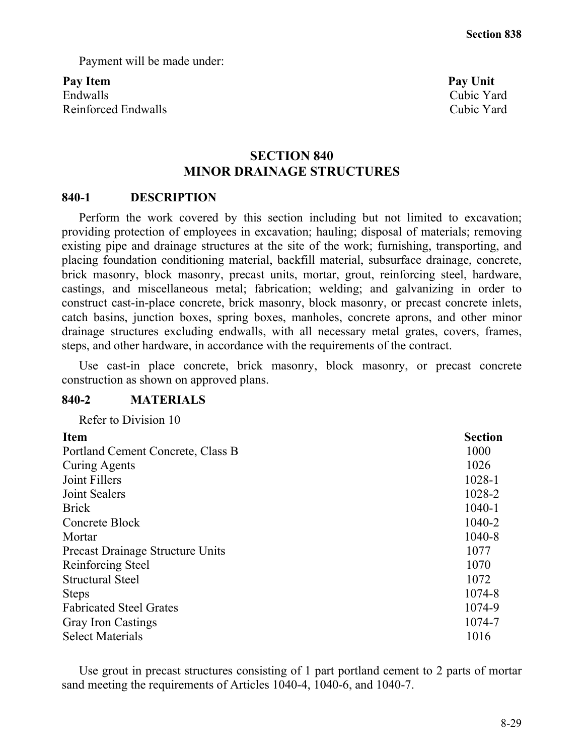Payment will be made under:

Pay Item **Pay Unit** Endwalls Cubic Yard Reinforced Endwalls **Cubic Yard** Cubic Yard

# **SECTION 840 MINOR DRAINAGE STRUCTURES**

## **840-1 DESCRIPTION**

Perform the work covered by this section including but not limited to excavation; providing protection of employees in excavation; hauling; disposal of materials; removing existing pipe and drainage structures at the site of the work; furnishing, transporting, and placing foundation conditioning material, backfill material, subsurface drainage, concrete, brick masonry, block masonry, precast units, mortar, grout, reinforcing steel, hardware, castings, and miscellaneous metal; fabrication; welding; and galvanizing in order to construct cast-in-place concrete, brick masonry, block masonry, or precast concrete inlets, catch basins, junction boxes, spring boxes, manholes, concrete aprons, and other minor drainage structures excluding endwalls, with all necessary metal grates, covers, frames, steps, and other hardware, in accordance with the requirements of the contract.

Use cast-in place concrete, brick masonry, block masonry, or precast concrete construction as shown on approved plans.

## **840-2 MATERIALS**

| Refer to Division 10                    |                |
|-----------------------------------------|----------------|
| <b>Item</b>                             | <b>Section</b> |
| Portland Cement Concrete, Class B       | 1000           |
| <b>Curing Agents</b>                    | 1026           |
| Joint Fillers                           | 1028-1         |
| Joint Sealers                           | 1028-2         |
| <b>Brick</b>                            | $1040 - 1$     |
| Concrete Block                          | 1040-2         |
| Mortar                                  | 1040-8         |
| <b>Precast Drainage Structure Units</b> | 1077           |
| Reinforcing Steel                       | 1070           |
| <b>Structural Steel</b>                 | 1072           |
| <b>Steps</b>                            | 1074-8         |
| <b>Fabricated Steel Grates</b>          | 1074-9         |
| <b>Gray Iron Castings</b>               | 1074-7         |
| <b>Select Materials</b>                 | 1016           |
|                                         |                |

Use grout in precast structures consisting of 1 part portland cement to 2 parts of mortar sand meeting the requirements of Articles 1040-4, 1040-6, and 1040-7.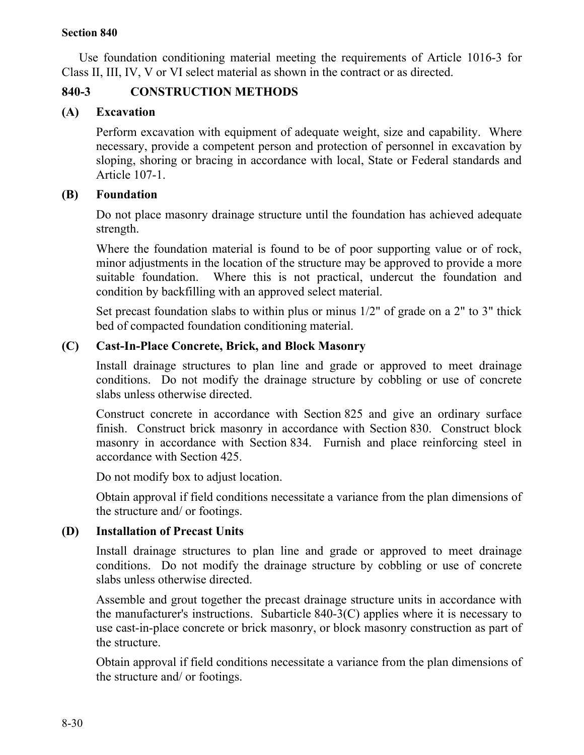Use foundation conditioning material meeting the requirements of Article 1016-3 for Class II, III, IV, V or VI select material as shown in the contract or as directed.

# **840-3 CONSTRUCTION METHODS**

# **(A) Excavation**

Perform excavation with equipment of adequate weight, size and capability. Where necessary, provide a competent person and protection of personnel in excavation by sloping, shoring or bracing in accordance with local, State or Federal standards and Article 107-1.

# **(B) Foundation**

Do not place masonry drainage structure until the foundation has achieved adequate strength.

Where the foundation material is found to be of poor supporting value or of rock, minor adjustments in the location of the structure may be approved to provide a more suitable foundation. Where this is not practical, undercut the foundation and condition by backfilling with an approved select material.

Set precast foundation slabs to within plus or minus 1/2" of grade on a 2" to 3" thick bed of compacted foundation conditioning material.

# **(C) Cast-In-Place Concrete, Brick, and Block Masonry**

Install drainage structures to plan line and grade or approved to meet drainage conditions. Do not modify the drainage structure by cobbling or use of concrete slabs unless otherwise directed.

Construct concrete in accordance with Section 825 and give an ordinary surface finish. Construct brick masonry in accordance with Section 830. Construct block masonry in accordance with Section 834. Furnish and place reinforcing steel in accordance with Section 425.

Do not modify box to adjust location.

Obtain approval if field conditions necessitate a variance from the plan dimensions of the structure and/ or footings.

# **(D) Installation of Precast Units**

Install drainage structures to plan line and grade or approved to meet drainage conditions. Do not modify the drainage structure by cobbling or use of concrete slabs unless otherwise directed.

Assemble and grout together the precast drainage structure units in accordance with the manufacturer's instructions. Subarticle 840-3(C) applies where it is necessary to use cast-in-place concrete or brick masonry, or block masonry construction as part of the structure.

Obtain approval if field conditions necessitate a variance from the plan dimensions of the structure and/ or footings.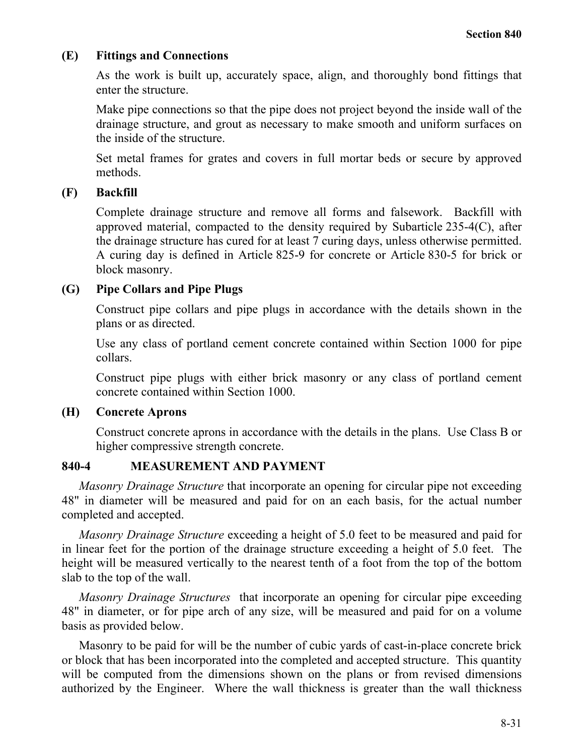## **(E) Fittings and Connections**

As the work is built up, accurately space, align, and thoroughly bond fittings that enter the structure.

Make pipe connections so that the pipe does not project beyond the inside wall of the drainage structure, and grout as necessary to make smooth and uniform surfaces on the inside of the structure.

Set metal frames for grates and covers in full mortar beds or secure by approved methods.

## **(F) Backfill**

Complete drainage structure and remove all forms and falsework. Backfill with approved material, compacted to the density required by Subarticle 235-4(C), after the drainage structure has cured for at least 7 curing days, unless otherwise permitted. A curing day is defined in Article 825-9 for concrete or Article 830-5 for brick or block masonry.

## **(G) Pipe Collars and Pipe Plugs**

Construct pipe collars and pipe plugs in accordance with the details shown in the plans or as directed.

Use any class of portland cement concrete contained within Section 1000 for pipe collars.

Construct pipe plugs with either brick masonry or any class of portland cement concrete contained within Section 1000.

## **(H) Concrete Aprons**

Construct concrete aprons in accordance with the details in the plans. Use Class B or higher compressive strength concrete.

# **840-4 MEASUREMENT AND PAYMENT**

*Masonry Drainage Structure* that incorporate an opening for circular pipe not exceeding 48" in diameter will be measured and paid for on an each basis, for the actual number completed and accepted.

*Masonry Drainage Structure* exceeding a height of 5.0 feet to be measured and paid for in linear feet for the portion of the drainage structure exceeding a height of 5.0 feet. The height will be measured vertically to the nearest tenth of a foot from the top of the bottom slab to the top of the wall.

*Masonry Drainage Structures* that incorporate an opening for circular pipe exceeding 48" in diameter, or for pipe arch of any size, will be measured and paid for on a volume basis as provided below.

Masonry to be paid for will be the number of cubic yards of cast-in-place concrete brick or block that has been incorporated into the completed and accepted structure. This quantity will be computed from the dimensions shown on the plans or from revised dimensions authorized by the Engineer. Where the wall thickness is greater than the wall thickness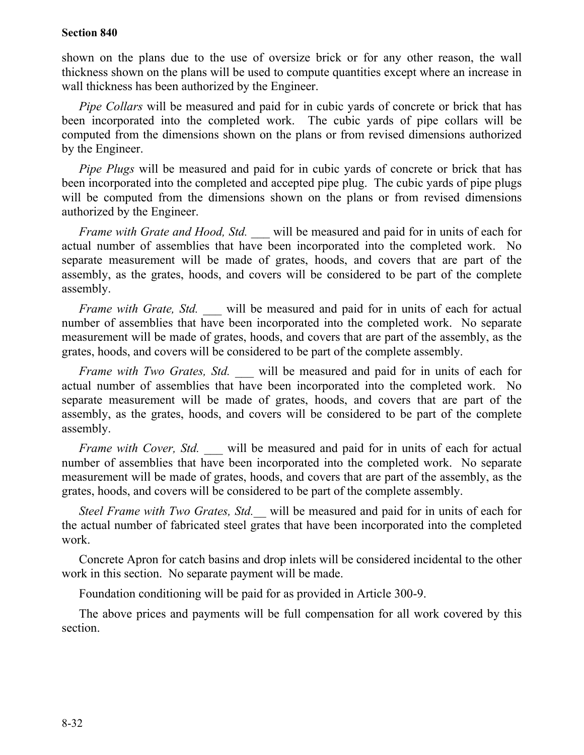shown on the plans due to the use of oversize brick or for any other reason, the wall thickness shown on the plans will be used to compute quantities except where an increase in wall thickness has been authorized by the Engineer.

*Pipe Collars* will be measured and paid for in cubic yards of concrete or brick that has been incorporated into the completed work. The cubic yards of pipe collars will be computed from the dimensions shown on the plans or from revised dimensions authorized by the Engineer.

*Pipe Plugs* will be measured and paid for in cubic yards of concrete or brick that has been incorporated into the completed and accepted pipe plug. The cubic yards of pipe plugs will be computed from the dimensions shown on the plans or from revised dimensions authorized by the Engineer.

*Frame with Grate and Hood, Std.* will be measured and paid for in units of each for actual number of assemblies that have been incorporated into the completed work. No separate measurement will be made of grates, hoods, and covers that are part of the assembly, as the grates, hoods, and covers will be considered to be part of the complete assembly.

*Frame with Grate, Std.* will be measured and paid for in units of each for actual number of assemblies that have been incorporated into the completed work. No separate measurement will be made of grates, hoods, and covers that are part of the assembly, as the grates, hoods, and covers will be considered to be part of the complete assembly.

*Frame with Two Grates, Std.* will be measured and paid for in units of each for actual number of assemblies that have been incorporated into the completed work. No separate measurement will be made of grates, hoods, and covers that are part of the assembly, as the grates, hoods, and covers will be considered to be part of the complete assembly.

*Frame with Cover, Std.* will be measured and paid for in units of each for actual number of assemblies that have been incorporated into the completed work. No separate measurement will be made of grates, hoods, and covers that are part of the assembly, as the grates, hoods, and covers will be considered to be part of the complete assembly.

*Steel Frame with Two Grates, Std.\_\_* will be measured and paid for in units of each for the actual number of fabricated steel grates that have been incorporated into the completed work.

Concrete Apron for catch basins and drop inlets will be considered incidental to the other work in this section. No separate payment will be made.

Foundation conditioning will be paid for as provided in Article 300-9.

The above prices and payments will be full compensation for all work covered by this section.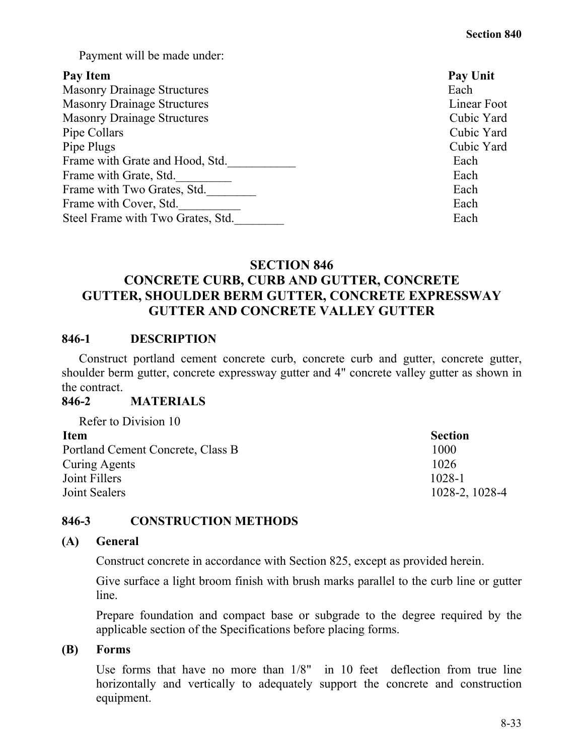Payment will be made under:

## Pay Item **Pay Unit**

| <b>Masonry Drainage Structures</b> | Each  |
|------------------------------------|-------|
| <b>Masonry Drainage Structures</b> | Linea |
| <b>Masonry Drainage Structures</b> | Cubic |
| Pipe Collars                       | Cubic |
| Pipe Plugs                         | Cubic |
| Frame with Grate and Hood, Std.    | Each  |
| Frame with Grate, Std.             | Each  |
| Frame with Two Grates, Std.        | Each  |
| Frame with Cover, Std.             | Each  |
| Steel Frame with Two Grates, Std.  | Each  |
|                                    |       |

Linear Foot Cubic Yard Cubic Yard Cubic Yard

# **SECTION 846 CONCRETE CURB, CURB AND GUTTER, CONCRETE GUTTER, SHOULDER BERM GUTTER, CONCRETE EXPRESSWAY GUTTER AND CONCRETE VALLEY GUTTER**

# **846-1 DESCRIPTION**

Construct portland cement concrete curb, concrete curb and gutter, concrete gutter, shoulder berm gutter, concrete expressway gutter and 4" concrete valley gutter as shown in the contract.

## **846-2 MATERIALS**

| Refer to Division 10              |                |
|-----------------------------------|----------------|
| <b>Item</b>                       | <b>Section</b> |
| Portland Cement Concrete, Class B | 1000           |
| Curing Agents                     | 1026           |
| Joint Fillers                     | $1028 - 1$     |
| Joint Sealers                     | 1028-2, 1028-4 |

# **846-3 CONSTRUCTION METHODS**

## **(A) General**

Construct concrete in accordance with Section 825, except as provided herein.

Give surface a light broom finish with brush marks parallel to the curb line or gutter line.

Prepare foundation and compact base or subgrade to the degree required by the applicable section of the Specifications before placing forms.

## **(B) Forms**

Use forms that have no more than 1/8" in 10 feet deflection from true line horizontally and vertically to adequately support the concrete and construction equipment.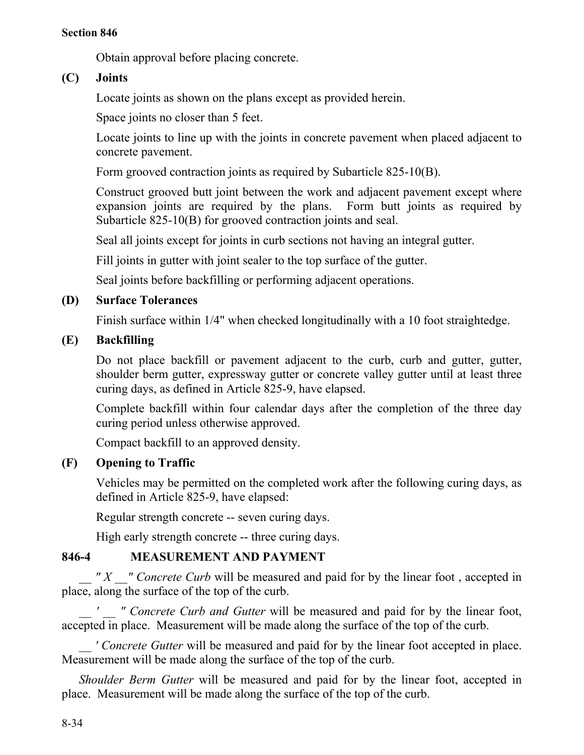Obtain approval before placing concrete.

# **(C) Joints**

Locate joints as shown on the plans except as provided herein.

Space joints no closer than 5 feet.

Locate joints to line up with the joints in concrete pavement when placed adjacent to concrete pavement.

Form grooved contraction joints as required by Subarticle 825-10(B).

Construct grooved butt joint between the work and adjacent pavement except where expansion joints are required by the plans. Form butt joints as required by Subarticle 825-10(B) for grooved contraction joints and seal.

Seal all joints except for joints in curb sections not having an integral gutter.

Fill joints in gutter with joint sealer to the top surface of the gutter.

Seal joints before backfilling or performing adjacent operations.

# **(D) Surface Tolerances**

Finish surface within 1/4" when checked longitudinally with a 10 foot straightedge.

# **(E) Backfilling**

Do not place backfill or pavement adjacent to the curb, curb and gutter, gutter, shoulder berm gutter, expressway gutter or concrete valley gutter until at least three curing days, as defined in Article 825-9, have elapsed.

Complete backfill within four calendar days after the completion of the three day curing period unless otherwise approved.

Compact backfill to an approved density.

# **(F) Opening to Traffic**

Vehicles may be permitted on the completed work after the following curing days, as defined in Article 825-9, have elapsed:

Regular strength concrete -- seven curing days.

High early strength concrete -- three curing days.

# **846-4 MEASUREMENT AND PAYMENT**

*" X \_\_ " Concrete Curb* will be measured and paid for by the linear foot, accepted in place, along the surface of the top of the curb.

*\_\_ ' \_\_ " Concrete Curb and Gutter* will be measured and paid for by the linear foot, accepted in place. Measurement will be made along the surface of the top of the curb.

*' Concrete Gutter* will be measured and paid for by the linear foot accepted in place. Measurement will be made along the surface of the top of the curb.

*Shoulder Berm Gutter* will be measured and paid for by the linear foot, accepted in place. Measurement will be made along the surface of the top of the curb.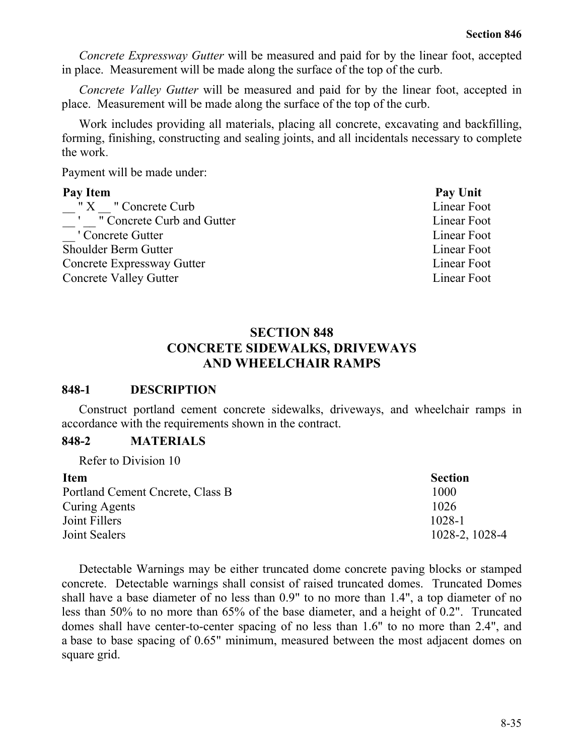*Concrete Expressway Gutter* will be measured and paid for by the linear foot, accepted in place. Measurement will be made along the surface of the top of the curb.

*Concrete Valley Gutter* will be measured and paid for by the linear foot, accepted in place. Measurement will be made along the surface of the top of the curb.

Work includes providing all materials, placing all concrete, excavating and backfilling, forming, finishing, constructing and sealing joints, and all incidentals necessary to complete the work.

Payment will be made under:

#### Pay Item **Pay Unit**

" X  $\blacksquare$  " Concrete Curb Linear Foot ' " Concrete Curb and Gutter Linear Foot Linear Foot — Concrete Gutter Linear Foot Linear Foot Shoulder Berm Gutter **Linear Foot** Linear Foot Concrete Expressway Gutter **Linear Foot Concrete Valley Gutter Linear Foot** Linear Foot

# **SECTION 848 CONCRETE SIDEWALKS, DRIVEWAYS AND WHEELCHAIR RAMPS**

## **848-1 DESCRIPTION**

Construct portland cement concrete sidewalks, driveways, and wheelchair ramps in accordance with the requirements shown in the contract.

## **848-2 MATERIALS**

Refer to Division 10

| <b>Item</b>                      | <b>Section</b> |
|----------------------------------|----------------|
| Portland Cement Cncrete, Class B | 1000           |
| Curing Agents                    | 1026           |
| Joint Fillers                    | $1028 - 1$     |
| Joint Sealers                    | 1028-2, 1028-4 |

Detectable Warnings may be either truncated dome concrete paving blocks or stamped concrete. Detectable warnings shall consist of raised truncated domes. Truncated Domes shall have a base diameter of no less than 0.9" to no more than 1.4", a top diameter of no less than 50% to no more than 65% of the base diameter, and a height of 0.2". Truncated domes shall have center-to-center spacing of no less than 1.6" to no more than 2.4", and a base to base spacing of 0.65" minimum, measured between the most adjacent domes on square grid.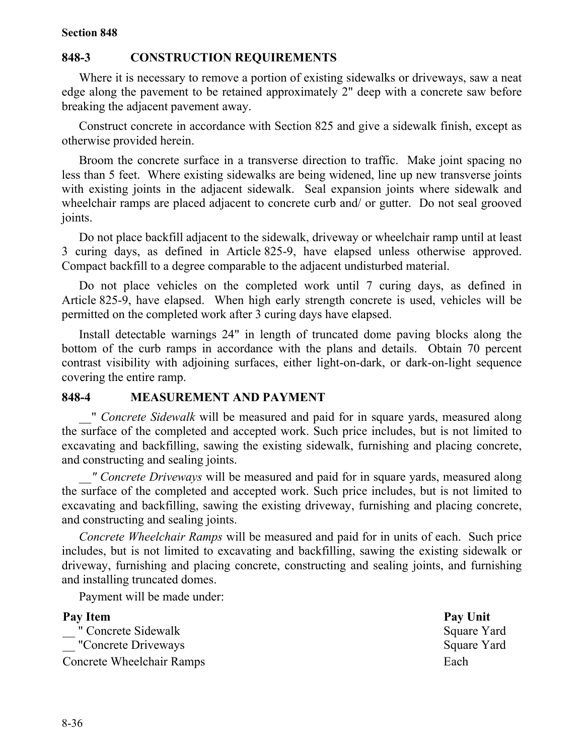#### **848-3 CONSTRUCTION REQUIREMENTS**

Where it is necessary to remove a portion of existing sidewalks or driveways, saw a neat edge along the pavement to be retained approximately 2" deep with a concrete saw before breaking the adjacent pavement away.

Construct concrete in accordance with Section 825 and give a sidewalk finish, except as otherwise provided herein.

Broom the concrete surface in a transverse direction to traffic. Make joint spacing no less than 5 feet. Where existing sidewalks are being widened, line up new transverse joints with existing joints in the adjacent sidewalk. Seal expansion joints where sidewalk and wheelchair ramps are placed adjacent to concrete curb and/ or gutter. Do not seal grooved joints.

Do not place backfill adjacent to the sidewalk, driveway or wheelchair ramp until at least 3 curing days, as defined in Article 825-9, have elapsed unless otherwise approved. Compact backfill to a degree comparable to the adjacent undisturbed material.

Do not place vehicles on the completed work until 7 curing days, as defined in Article 825-9, have elapsed. When high early strength concrete is used, vehicles will be permitted on the completed work after 3 curing days have elapsed.

Install detectable warnings 24" in length of truncated dome paving blocks along the bottom of the curb ramps in accordance with the plans and details. Obtain 70 percent contrast visibility with adjoining surfaces, either light-on-dark, or dark-on-light sequence covering the entire ramp.

#### **848-4 MEASUREMENT AND PAYMENT**

\_\_" *Concrete Sidewalk* will be measured and paid for in square yards, measured along the surface of the completed and accepted work. Such price includes, but is not limited to excavating and backfilling, sawing the existing sidewalk, furnishing and placing concrete, and constructing and sealing joints.

*\_\_" Concrete Driveways* will be measured and paid for in square yards, measured along the surface of the completed and accepted work. Such price includes, but is not limited to excavating and backfilling, sawing the existing driveway, furnishing and placing concrete, and constructing and sealing joints.

*Concrete Wheelchair Ramps* will be measured and paid for in units of each. Such price includes, but is not limited to excavating and backfilling, sawing the existing sidewalk or driveway, furnishing and placing concrete, constructing and sealing joints, and furnishing and installing truncated domes.

Payment will be made under:

| Pay Item                         | Pay Unit    |
|----------------------------------|-------------|
| " Concrete Sidewalk              | Square Yard |
| "Concrete Driveways"             | Square Yard |
| <b>Concrete Wheelchair Ramps</b> | Each        |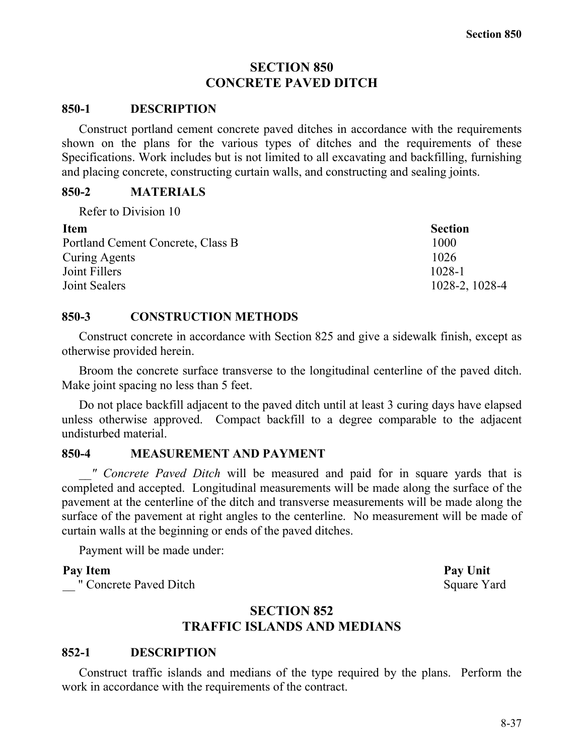# **SECTION 850 CONCRETE PAVED DITCH**

## **850-1 DESCRIPTION**

Construct portland cement concrete paved ditches in accordance with the requirements shown on the plans for the various types of ditches and the requirements of these Specifications. Work includes but is not limited to all excavating and backfilling, furnishing and placing concrete, constructing curtain walls, and constructing and sealing joints.

## **850-2 MATERIALS**

Refer to Division 10

| <b>Section</b> |
|----------------|
| 1000           |
| 1026           |
| $1028 - 1$     |
| 1028-2, 1028-4 |
|                |

## **850-3 CONSTRUCTION METHODS**

Construct concrete in accordance with Section 825 and give a sidewalk finish, except as otherwise provided herein.

Broom the concrete surface transverse to the longitudinal centerline of the paved ditch. Make joint spacing no less than 5 feet.

Do not place backfill adjacent to the paved ditch until at least 3 curing days have elapsed unless otherwise approved. Compact backfill to a degree comparable to the adjacent undisturbed material.

# **850-4 MEASUREMENT AND PAYMENT**

*\_\_" Concrete Paved Ditch* will be measured and paid for in square yards that is completed and accepted. Longitudinal measurements will be made along the surface of the pavement at the centerline of the ditch and transverse measurements will be made along the surface of the pavement at right angles to the centerline. No measurement will be made of curtain walls at the beginning or ends of the paved ditches.

Payment will be made under:

" Concrete Paved Ditch Square Yard

# **SECTION 852 TRAFFIC ISLANDS AND MEDIANS**

# **852-1 DESCRIPTION**

Construct traffic islands and medians of the type required by the plans. Perform the work in accordance with the requirements of the contract.

Pay Item **Pay Unit**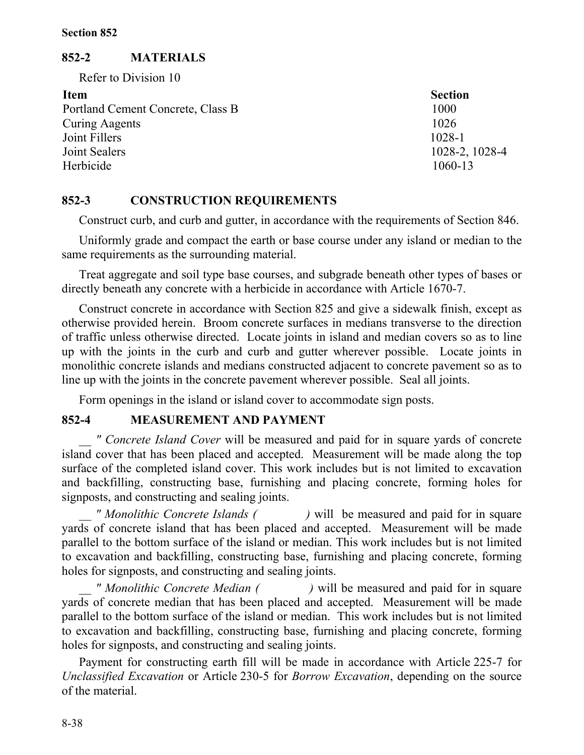## **852-2 MATERIALS**

Refer to Division 10

**Item Section** Portland Cement Concrete, Class B 1000 Curing Aagents 1026 Joint Fillers 1028-1 Joint Sealers 1028-2, 1028-4 Herbicide 1060-13

## **852-3 CONSTRUCTION REQUIREMENTS**

Construct curb, and curb and gutter, in accordance with the requirements of Section 846.

Uniformly grade and compact the earth or base course under any island or median to the same requirements as the surrounding material.

Treat aggregate and soil type base courses, and subgrade beneath other types of bases or directly beneath any concrete with a herbicide in accordance with Article 1670-7.

Construct concrete in accordance with Section 825 and give a sidewalk finish, except as otherwise provided herein. Broom concrete surfaces in medians transverse to the direction of traffic unless otherwise directed. Locate joints in island and median covers so as to line up with the joints in the curb and curb and gutter wherever possible. Locate joints in monolithic concrete islands and medians constructed adjacent to concrete pavement so as to line up with the joints in the concrete pavement wherever possible. Seal all joints.

Form openings in the island or island cover to accommodate sign posts.

## **852-4 MEASUREMENT AND PAYMENT**

*\_\_ " Concrete Island Cover* will be measured and paid for in square yards of concrete island cover that has been placed and accepted. Measurement will be made along the top surface of the completed island cover. This work includes but is not limited to excavation and backfilling, constructing base, furnishing and placing concrete, forming holes for signposts, and constructing and sealing joints.

*\_\_ " Monolithic Concrete Islands ( )* will be measured and paid for in square yards of concrete island that has been placed and accepted. Measurement will be made parallel to the bottom surface of the island or median. This work includes but is not limited to excavation and backfilling, constructing base, furnishing and placing concrete, forming holes for signposts, and constructing and sealing joints.

*\_\_ " Monolithic Concrete Median ( )* will be measured and paid for in square yards of concrete median that has been placed and accepted. Measurement will be made parallel to the bottom surface of the island or median. This work includes but is not limited to excavation and backfilling, constructing base, furnishing and placing concrete, forming holes for signposts, and constructing and sealing joints.

Payment for constructing earth fill will be made in accordance with Article 225-7 for *Unclassified Excavation* or Article 230-5 for *Borrow Excavation*, depending on the source of the material.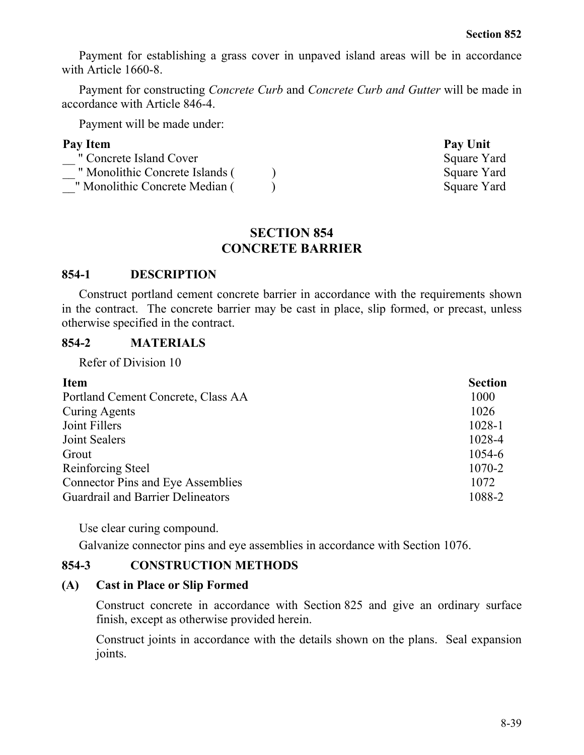Payment for establishing a grass cover in unpaved island areas will be in accordance with Article 1660-8.

Payment for constructing *Concrete Curb* and *Concrete Curb and Gutter* will be made in accordance with Article 846-4.

Payment will be made under:

| Pay Item                        | Pay Unit    |
|---------------------------------|-------------|
| " Concrete Island Cover         | Square Yard |
| " Monolithic Concrete Islands ( | Square Yard |
| " Monolithic Concrete Median (  | Square Yard |

## **SECTION 854 CONCRETE BARRIER**

## **854-1 DESCRIPTION**

Construct portland cement concrete barrier in accordance with the requirements shown in the contract. The concrete barrier may be cast in place, slip formed, or precast, unless otherwise specified in the contract.

#### **854-2 MATERIALS**

Refer of Division 10

| <b>Item</b>                              | <b>Section</b> |
|------------------------------------------|----------------|
| Portland Cement Concrete, Class AA       | 1000           |
| <b>Curing Agents</b>                     | 1026           |
| Joint Fillers                            | 1028-1         |
| Joint Sealers                            | 1028-4         |
| Grout                                    | 1054-6         |
| Reinforcing Steel                        | 1070-2         |
| <b>Connector Pins and Eye Assemblies</b> | 1072           |
| <b>Guardrail and Barrier Delineators</b> | 1088-2         |

Use clear curing compound.

Galvanize connector pins and eye assemblies in accordance with Section 1076.

## **854-3 CONSTRUCTION METHODS**

## **(A) Cast in Place or Slip Formed**

Construct concrete in accordance with Section 825 and give an ordinary surface finish, except as otherwise provided herein.

Construct joints in accordance with the details shown on the plans. Seal expansion joints.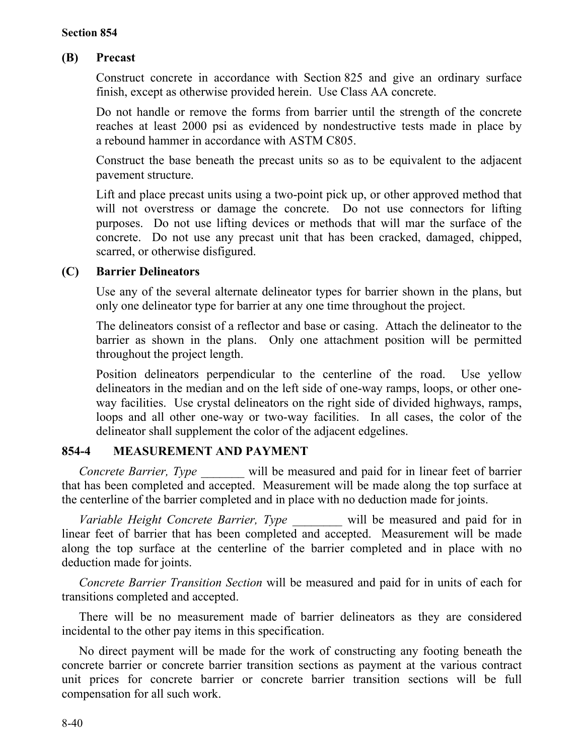# **(B) Precast**

Construct concrete in accordance with Section 825 and give an ordinary surface finish, except as otherwise provided herein. Use Class AA concrete.

Do not handle or remove the forms from barrier until the strength of the concrete reaches at least 2000 psi as evidenced by nondestructive tests made in place by a rebound hammer in accordance with ASTM C805.

Construct the base beneath the precast units so as to be equivalent to the adjacent pavement structure.

Lift and place precast units using a two-point pick up, or other approved method that will not overstress or damage the concrete. Do not use connectors for lifting purposes. Do not use lifting devices or methods that will mar the surface of the concrete. Do not use any precast unit that has been cracked, damaged, chipped, scarred, or otherwise disfigured.

# **(C) Barrier Delineators**

Use any of the several alternate delineator types for barrier shown in the plans, but only one delineator type for barrier at any one time throughout the project.

The delineators consist of a reflector and base or casing. Attach the delineator to the barrier as shown in the plans. Only one attachment position will be permitted throughout the project length.

Position delineators perpendicular to the centerline of the road. Use yellow delineators in the median and on the left side of one-way ramps, loops, or other oneway facilities. Use crystal delineators on the right side of divided highways, ramps, loops and all other one-way or two-way facilities. In all cases, the color of the delineator shall supplement the color of the adjacent edgelines.

# **854-4 MEASUREMENT AND PAYMENT**

*Concrete Barrier, Type* will be measured and paid for in linear feet of barrier that has been completed and accepted. Measurement will be made along the top surface at the centerline of the barrier completed and in place with no deduction made for joints.

*Variable Height Concrete Barrier, Type* will be measured and paid for in linear feet of barrier that has been completed and accepted. Measurement will be made along the top surface at the centerline of the barrier completed and in place with no deduction made for joints.

*Concrete Barrier Transition Section* will be measured and paid for in units of each for transitions completed and accepted.

There will be no measurement made of barrier delineators as they are considered incidental to the other pay items in this specification.

No direct payment will be made for the work of constructing any footing beneath the concrete barrier or concrete barrier transition sections as payment at the various contract unit prices for concrete barrier or concrete barrier transition sections will be full compensation for all such work.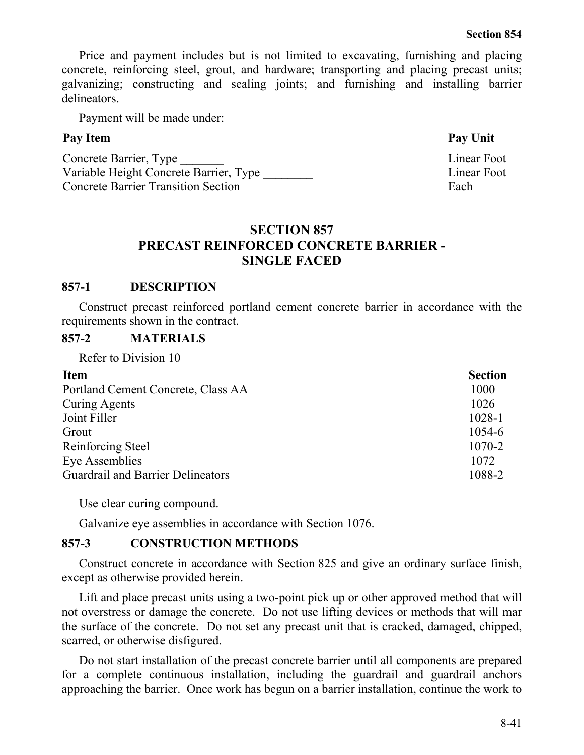Price and payment includes but is not limited to excavating, furnishing and placing concrete, reinforcing steel, grout, and hardware; transporting and placing precast units; galvanizing; constructing and sealing joints; and furnishing and installing barrier delineators.

Payment will be made under:

# Pay Item **Pay Unit**

Concrete Barrier, Type Linear Foot Variable Height Concrete Barrier, Type Linear Foot **Concrete Barrier Transition Section Each** 

# **SECTION 857 PRECAST REINFORCED CONCRETE BARRIER - SINGLE FACED**

# **857-1 DESCRIPTION**

Construct precast reinforced portland cement concrete barrier in accordance with the requirements shown in the contract.

# **857-2 MATERIALS**

Refer to Division 10

| <b>Item</b>                              | <b>Section</b> |
|------------------------------------------|----------------|
| Portland Cement Concrete, Class AA       | 1000           |
| Curing Agents                            | 1026           |
| Joint Filler                             | 1028-1         |
| Grout                                    | 1054-6         |
| Reinforcing Steel                        | 1070-2         |
| Eye Assemblies                           | 1072           |
| <b>Guardrail and Barrier Delineators</b> | 1088-2         |

Use clear curing compound.

Galvanize eye assemblies in accordance with Section 1076.

# **857-3 CONSTRUCTION METHODS**

Construct concrete in accordance with Section 825 and give an ordinary surface finish, except as otherwise provided herein.

Lift and place precast units using a two-point pick up or other approved method that will not overstress or damage the concrete. Do not use lifting devices or methods that will mar the surface of the concrete. Do not set any precast unit that is cracked, damaged, chipped, scarred, or otherwise disfigured.

Do not start installation of the precast concrete barrier until all components are prepared for a complete continuous installation, including the guardrail and guardrail anchors approaching the barrier. Once work has begun on a barrier installation, continue the work to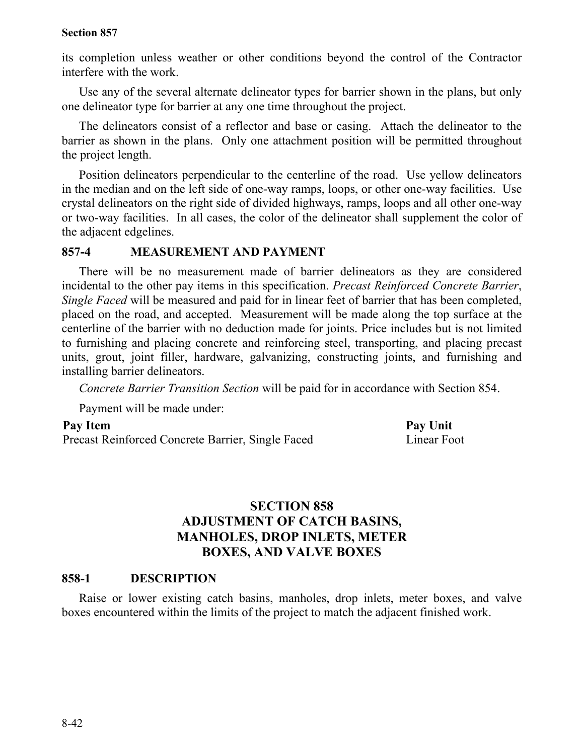its completion unless weather or other conditions beyond the control of the Contractor interfere with the work.

Use any of the several alternate delineator types for barrier shown in the plans, but only one delineator type for barrier at any one time throughout the project.

The delineators consist of a reflector and base or casing. Attach the delineator to the barrier as shown in the plans. Only one attachment position will be permitted throughout the project length.

Position delineators perpendicular to the centerline of the road. Use yellow delineators in the median and on the left side of one-way ramps, loops, or other one-way facilities. Use crystal delineators on the right side of divided highways, ramps, loops and all other one-way or two-way facilities. In all cases, the color of the delineator shall supplement the color of the adjacent edgelines.

## **857-4 MEASUREMENT AND PAYMENT**

There will be no measurement made of barrier delineators as they are considered incidental to the other pay items in this specification. *Precast Reinforced Concrete Barrier*, *Single Faced* will be measured and paid for in linear feet of barrier that has been completed, placed on the road, and accepted. Measurement will be made along the top surface at the centerline of the barrier with no deduction made for joints. Price includes but is not limited to furnishing and placing concrete and reinforcing steel, transporting, and placing precast units, grout, joint filler, hardware, galvanizing, constructing joints, and furnishing and installing barrier delineators.

*Concrete Barrier Transition Section* will be paid for in accordance with Section 854.

Payment will be made under:

## Pay Item Pay Unit

Precast Reinforced Concrete Barrier, Single Faced Linear Foot

# **SECTION 858 ADJUSTMENT OF CATCH BASINS, MANHOLES, DROP INLETS, METER BOXES, AND VALVE BOXES**

## **858-1 DESCRIPTION**

Raise or lower existing catch basins, manholes, drop inlets, meter boxes, and valve boxes encountered within the limits of the project to match the adjacent finished work.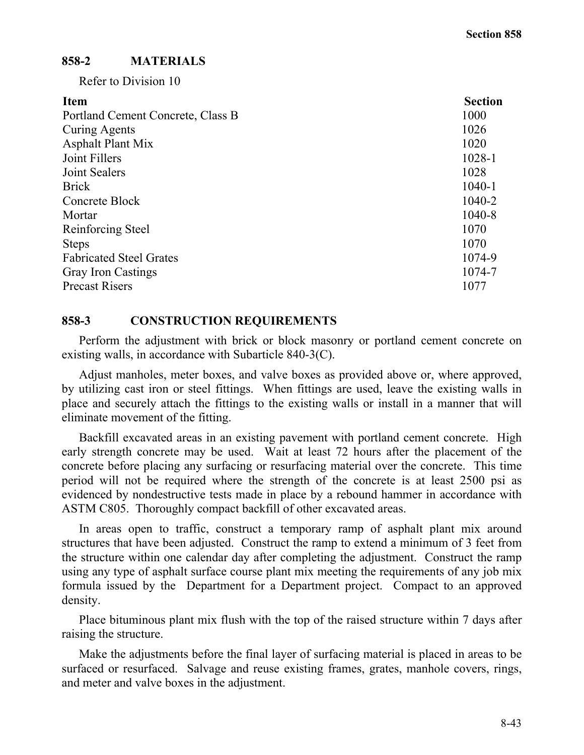## **858-2 MATERIALS**

Refer to Division 10

| <b>Item</b>                       | <b>Section</b> |
|-----------------------------------|----------------|
| Portland Cement Concrete, Class B | 1000           |
| Curing Agents                     | 1026           |
| <b>Asphalt Plant Mix</b>          | 1020           |
| Joint Fillers                     | 1028-1         |
| Joint Sealers                     | 1028           |
| <b>Brick</b>                      | $1040 - 1$     |
| Concrete Block                    | 1040-2         |
| Mortar                            | 1040-8         |
| Reinforcing Steel                 | 1070           |
| <b>Steps</b>                      | 1070           |
| <b>Fabricated Steel Grates</b>    | 1074-9         |
| <b>Gray Iron Castings</b>         | 1074-7         |
| <b>Precast Risers</b>             | 1077           |

#### **858-3 CONSTRUCTION REQUIREMENTS**

Perform the adjustment with brick or block masonry or portland cement concrete on existing walls, in accordance with Subarticle 840-3(C).

Adjust manholes, meter boxes, and valve boxes as provided above or, where approved, by utilizing cast iron or steel fittings. When fittings are used, leave the existing walls in place and securely attach the fittings to the existing walls or install in a manner that will eliminate movement of the fitting.

Backfill excavated areas in an existing pavement with portland cement concrete. High early strength concrete may be used. Wait at least 72 hours after the placement of the concrete before placing any surfacing or resurfacing material over the concrete. This time period will not be required where the strength of the concrete is at least 2500 psi as evidenced by nondestructive tests made in place by a rebound hammer in accordance with ASTM C805. Thoroughly compact backfill of other excavated areas.

In areas open to traffic, construct a temporary ramp of asphalt plant mix around structures that have been adjusted. Construct the ramp to extend a minimum of 3 feet from the structure within one calendar day after completing the adjustment. Construct the ramp using any type of asphalt surface course plant mix meeting the requirements of any job mix formula issued by the Department for a Department project. Compact to an approved density.

Place bituminous plant mix flush with the top of the raised structure within 7 days after raising the structure.

Make the adjustments before the final layer of surfacing material is placed in areas to be surfaced or resurfaced. Salvage and reuse existing frames, grates, manhole covers, rings, and meter and valve boxes in the adjustment.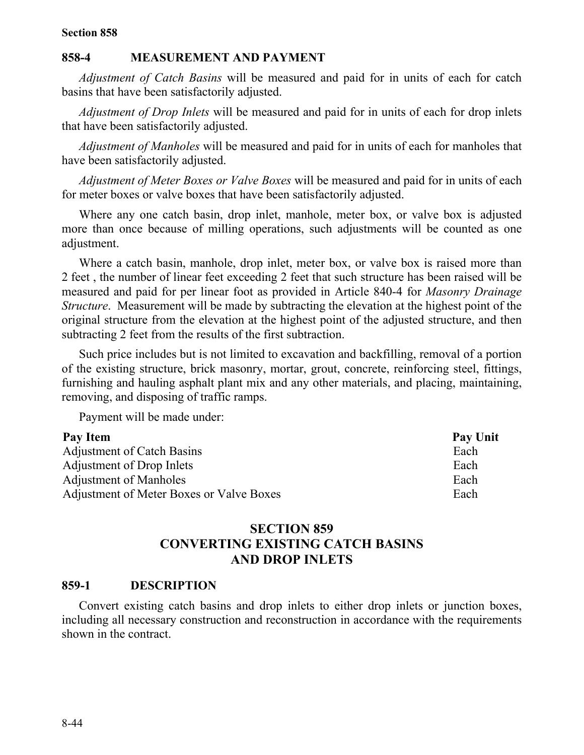#### **858-4 MEASUREMENT AND PAYMENT**

*Adjustment of Catch Basins* will be measured and paid for in units of each for catch basins that have been satisfactorily adjusted.

*Adjustment of Drop Inlets* will be measured and paid for in units of each for drop inlets that have been satisfactorily adjusted.

*Adjustment of Manholes* will be measured and paid for in units of each for manholes that have been satisfactorily adjusted.

*Adjustment of Meter Boxes or Valve Boxes* will be measured and paid for in units of each for meter boxes or valve boxes that have been satisfactorily adjusted.

Where any one catch basin, drop inlet, manhole, meter box, or valve box is adjusted more than once because of milling operations, such adjustments will be counted as one adjustment.

Where a catch basin, manhole, drop inlet, meter box, or valve box is raised more than 2 feet , the number of linear feet exceeding 2 feet that such structure has been raised will be measured and paid for per linear foot as provided in Article 840-4 for *Masonry Drainage Structure*. Measurement will be made by subtracting the elevation at the highest point of the original structure from the elevation at the highest point of the adjusted structure, and then subtracting 2 feet from the results of the first subtraction.

Such price includes but is not limited to excavation and backfilling, removal of a portion of the existing structure, brick masonry, mortar, grout, concrete, reinforcing steel, fittings, furnishing and hauling asphalt plant mix and any other materials, and placing, maintaining, removing, and disposing of traffic ramps.

Payment will be made under:

#### Pay Item **Pay Unit**

Adjustment of Catch Basins Each Adjustment of Drop Inlets Each Adjustment of Manholes Each Adjustment of Meter Boxes or Valve Boxes **Each** 

# **SECTION 859 CONVERTING EXISTING CATCH BASINS AND DROP INLETS**

#### **859-1 DESCRIPTION**

Convert existing catch basins and drop inlets to either drop inlets or junction boxes, including all necessary construction and reconstruction in accordance with the requirements shown in the contract.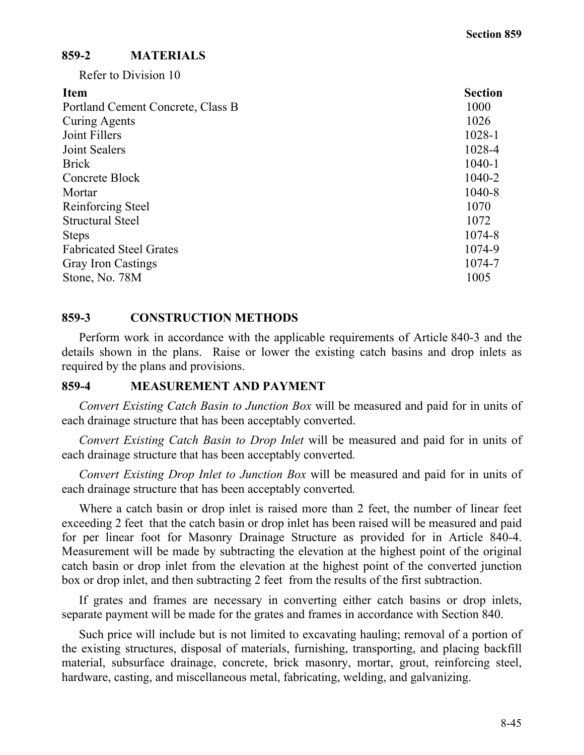# **859-2 MATERIALS**

Refer to Division 10

| <b>Section</b> |
|----------------|
| 1000           |
| 1026           |
| 1028-1         |
| 1028-4         |
| $1040 - 1$     |
| 1040-2         |
| 1040-8         |
| 1070           |
| 1072           |
| 1074-8         |
| 1074-9         |
| 1074-7         |
| 1005           |
|                |

## **859-3 CONSTRUCTION METHODS**

Perform work in accordance with the applicable requirements of Article 840-3 and the details shown in the plans. Raise or lower the existing catch basins and drop inlets as required by the plans and provisions.

# **859-4 MEASUREMENT AND PAYMENT**

*Convert Existing Catch Basin to Junction Box* will be measured and paid for in units of each drainage structure that has been acceptably converted.

*Convert Existing Catch Basin to Drop Inlet* will be measured and paid for in units of each drainage structure that has been acceptably converted*.*

*Convert Existing Drop Inlet to Junction Box* will be measured and paid for in units of each drainage structure that has been acceptably converted*.*

Where a catch basin or drop inlet is raised more than 2 feet, the number of linear feet exceeding 2 feet that the catch basin or drop inlet has been raised will be measured and paid for per linear foot for Masonry Drainage Structure as provided for in Article 840-4. Measurement will be made by subtracting the elevation at the highest point of the original catch basin or drop inlet from the elevation at the highest point of the converted junction box or drop inlet, and then subtracting 2 feet from the results of the first subtraction.

If grates and frames are necessary in converting either catch basins or drop inlets, separate payment will be made for the grates and frames in accordance with Section 840.

Such price will include but is not limited to excavating hauling; removal of a portion of the existing structures, disposal of materials, furnishing, transporting, and placing backfill material, subsurface drainage, concrete, brick masonry, mortar, grout, reinforcing steel, hardware, casting, and miscellaneous metal, fabricating, welding, and galvanizing.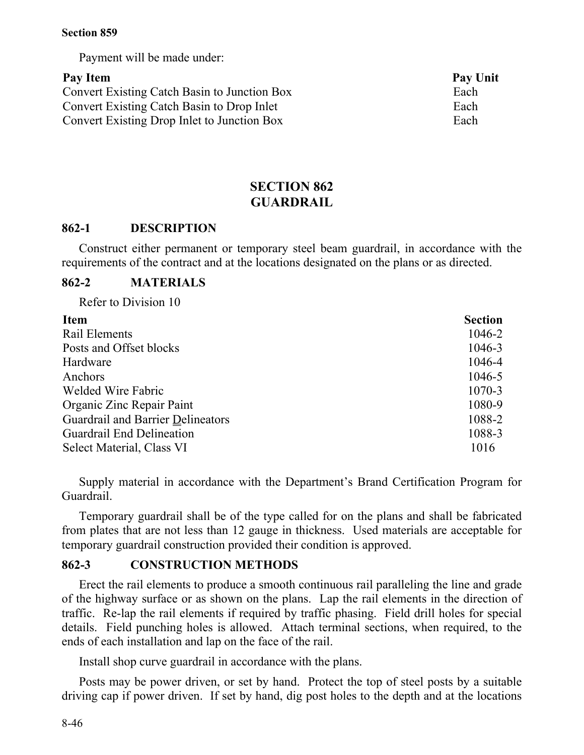Payment will be made under:

# **Pay Item Pay Unit**

Convert Existing Catch Basin to Junction Box Each Convert Existing Catch Basin to Drop Inlet Each Convert Existing Drop Inlet to Junction Box Each

# **SECTION 862 GUARDRAIL**

# **862-1 DESCRIPTION**

Construct either permanent or temporary steel beam guardrail, in accordance with the requirements of the contract and at the locations designated on the plans or as directed.

# **862-2 MATERIALS**

Refer to Division 10

| <b>Item</b>                       | <b>Section</b> |
|-----------------------------------|----------------|
| Rail Elements                     | 1046-2         |
| Posts and Offset blocks           | 1046-3         |
| Hardware                          | 1046-4         |
| Anchors                           | 1046-5         |
| Welded Wire Fabric                | 1070-3         |
| Organic Zinc Repair Paint         | 1080-9         |
| Guardrail and Barrier Delineators | 1088-2         |
| Guardrail End Delineation         | 1088-3         |
| Select Material, Class VI         | 1016           |

Supply material in accordance with the Department's Brand Certification Program for Guardrail.

Temporary guardrail shall be of the type called for on the plans and shall be fabricated from plates that are not less than 12 gauge in thickness. Used materials are acceptable for temporary guardrail construction provided their condition is approved.

# **862-3 CONSTRUCTION METHODS**

Erect the rail elements to produce a smooth continuous rail paralleling the line and grade of the highway surface or as shown on the plans. Lap the rail elements in the direction of traffic. Re-lap the rail elements if required by traffic phasing. Field drill holes for special details. Field punching holes is allowed. Attach terminal sections, when required, to the ends of each installation and lap on the face of the rail.

Install shop curve guardrail in accordance with the plans.

Posts may be power driven, or set by hand. Protect the top of steel posts by a suitable driving cap if power driven. If set by hand, dig post holes to the depth and at the locations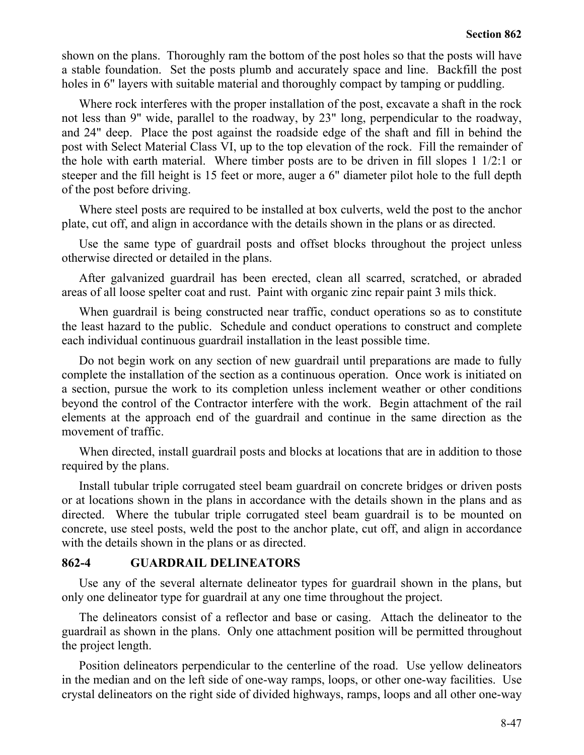shown on the plans. Thoroughly ram the bottom of the post holes so that the posts will have a stable foundation. Set the posts plumb and accurately space and line. Backfill the post holes in 6" layers with suitable material and thoroughly compact by tamping or puddling.

Where rock interferes with the proper installation of the post, excavate a shaft in the rock not less than 9" wide, parallel to the roadway, by 23" long, perpendicular to the roadway, and 24" deep. Place the post against the roadside edge of the shaft and fill in behind the post with Select Material Class VI, up to the top elevation of the rock. Fill the remainder of the hole with earth material. Where timber posts are to be driven in fill slopes 1 1/2:1 or steeper and the fill height is 15 feet or more, auger a 6" diameter pilot hole to the full depth of the post before driving.

Where steel posts are required to be installed at box culverts, weld the post to the anchor plate, cut off, and align in accordance with the details shown in the plans or as directed.

Use the same type of guardrail posts and offset blocks throughout the project unless otherwise directed or detailed in the plans.

After galvanized guardrail has been erected, clean all scarred, scratched, or abraded areas of all loose spelter coat and rust. Paint with organic zinc repair paint 3 mils thick.

When guardrail is being constructed near traffic, conduct operations so as to constitute the least hazard to the public. Schedule and conduct operations to construct and complete each individual continuous guardrail installation in the least possible time.

Do not begin work on any section of new guardrail until preparations are made to fully complete the installation of the section as a continuous operation. Once work is initiated on a section, pursue the work to its completion unless inclement weather or other conditions beyond the control of the Contractor interfere with the work. Begin attachment of the rail elements at the approach end of the guardrail and continue in the same direction as the movement of traffic.

When directed, install guardrail posts and blocks at locations that are in addition to those required by the plans.

Install tubular triple corrugated steel beam guardrail on concrete bridges or driven posts or at locations shown in the plans in accordance with the details shown in the plans and as directed. Where the tubular triple corrugated steel beam guardrail is to be mounted on concrete, use steel posts, weld the post to the anchor plate, cut off, and align in accordance with the details shown in the plans or as directed.

# **862-4 GUARDRAIL DELINEATORS**

Use any of the several alternate delineator types for guardrail shown in the plans, but only one delineator type for guardrail at any one time throughout the project.

The delineators consist of a reflector and base or casing. Attach the delineator to the guardrail as shown in the plans. Only one attachment position will be permitted throughout the project length.

Position delineators perpendicular to the centerline of the road. Use yellow delineators in the median and on the left side of one-way ramps, loops, or other one-way facilities. Use crystal delineators on the right side of divided highways, ramps, loops and all other one-way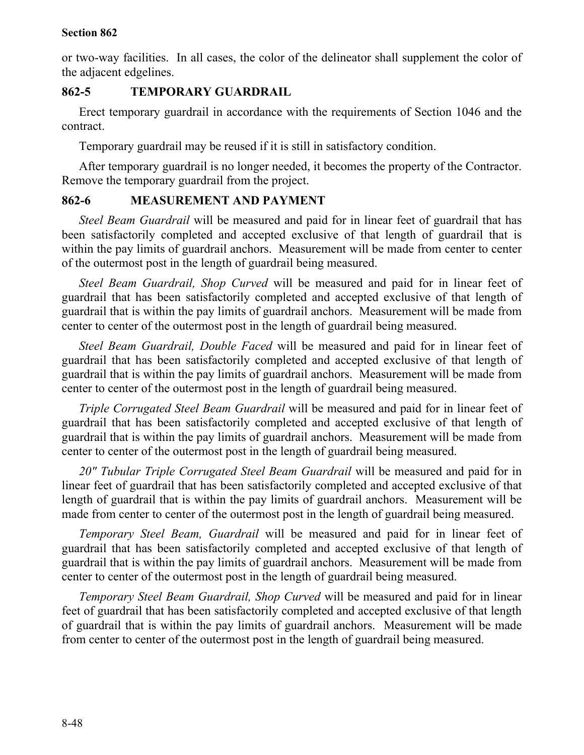or two-way facilities. In all cases, the color of the delineator shall supplement the color of the adjacent edgelines.

# **862-5 TEMPORARY GUARDRAIL**

Erect temporary guardrail in accordance with the requirements of Section 1046 and the contract.

Temporary guardrail may be reused if it is still in satisfactory condition.

After temporary guardrail is no longer needed, it becomes the property of the Contractor. Remove the temporary guardrail from the project.

# **862-6 MEASUREMENT AND PAYMENT**

*Steel Beam Guardrail* will be measured and paid for in linear feet of guardrail that has been satisfactorily completed and accepted exclusive of that length of guardrail that is within the pay limits of guardrail anchors. Measurement will be made from center to center of the outermost post in the length of guardrail being measured.

*Steel Beam Guardrail, Shop Curved* will be measured and paid for in linear feet of guardrail that has been satisfactorily completed and accepted exclusive of that length of guardrail that is within the pay limits of guardrail anchors. Measurement will be made from center to center of the outermost post in the length of guardrail being measured.

*Steel Beam Guardrail, Double Faced* will be measured and paid for in linear feet of guardrail that has been satisfactorily completed and accepted exclusive of that length of guardrail that is within the pay limits of guardrail anchors. Measurement will be made from center to center of the outermost post in the length of guardrail being measured.

*Triple Corrugated Steel Beam Guardrail* will be measured and paid for in linear feet of guardrail that has been satisfactorily completed and accepted exclusive of that length of guardrail that is within the pay limits of guardrail anchors. Measurement will be made from center to center of the outermost post in the length of guardrail being measured.

*20" Tubular Triple Corrugated Steel Beam Guardrail* will be measured and paid for in linear feet of guardrail that has been satisfactorily completed and accepted exclusive of that length of guardrail that is within the pay limits of guardrail anchors. Measurement will be made from center to center of the outermost post in the length of guardrail being measured.

*Temporary Steel Beam, Guardrail* will be measured and paid for in linear feet of guardrail that has been satisfactorily completed and accepted exclusive of that length of guardrail that is within the pay limits of guardrail anchors. Measurement will be made from center to center of the outermost post in the length of guardrail being measured.

*Temporary Steel Beam Guardrail, Shop Curved* will be measured and paid for in linear feet of guardrail that has been satisfactorily completed and accepted exclusive of that length of guardrail that is within the pay limits of guardrail anchors. Measurement will be made from center to center of the outermost post in the length of guardrail being measured.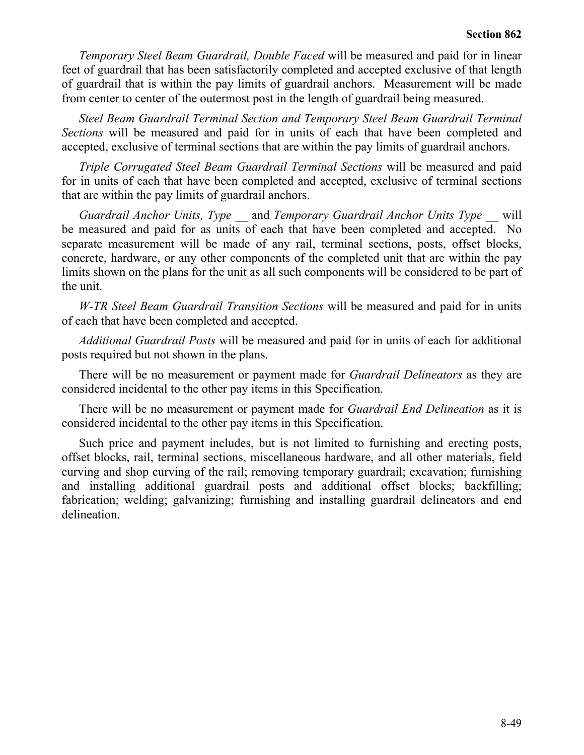*Temporary Steel Beam Guardrail, Double Faced* will be measured and paid for in linear feet of guardrail that has been satisfactorily completed and accepted exclusive of that length of guardrail that is within the pay limits of guardrail anchors. Measurement will be made from center to center of the outermost post in the length of guardrail being measured.

*Steel Beam Guardrail Terminal Section and Temporary Steel Beam Guardrail Terminal Sections* will be measured and paid for in units of each that have been completed and accepted, exclusive of terminal sections that are within the pay limits of guardrail anchors.

*Triple Corrugated Steel Beam Guardrail Terminal Sections* will be measured and paid for in units of each that have been completed and accepted, exclusive of terminal sections that are within the pay limits of guardrail anchors.

*Guardrail Anchor Units, Type* \_\_ and *Temporary Guardrail Anchor Units Type \_\_* will be measured and paid for as units of each that have been completed and accepted. No separate measurement will be made of any rail, terminal sections, posts, offset blocks, concrete, hardware, or any other components of the completed unit that are within the pay limits shown on the plans for the unit as all such components will be considered to be part of the unit.

*W-TR Steel Beam Guardrail Transition Sections* will be measured and paid for in units of each that have been completed and accepted.

*Additional Guardrail Posts* will be measured and paid for in units of each for additional posts required but not shown in the plans.

There will be no measurement or payment made for *Guardrail Delineators* as they are considered incidental to the other pay items in this Specification.

There will be no measurement or payment made for *Guardrail End Delineation* as it is considered incidental to the other pay items in this Specification.

Such price and payment includes, but is not limited to furnishing and erecting posts, offset blocks, rail, terminal sections, miscellaneous hardware, and all other materials, field curving and shop curving of the rail; removing temporary guardrail; excavation; furnishing and installing additional guardrail posts and additional offset blocks; backfilling; fabrication; welding; galvanizing; furnishing and installing guardrail delineators and end delineation.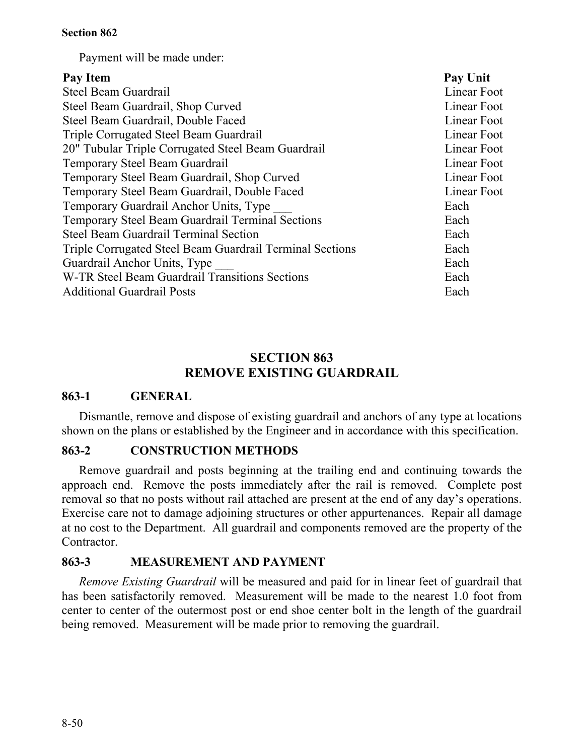Payment will be made under:

| Pay Unit    |
|-------------|
| Linear Foot |
| Linear Foot |
| Linear Foot |
| Linear Foot |
| Linear Foot |
| Linear Foot |
| Linear Foot |
| Linear Foot |
| Each        |
| Each        |
| Each        |
| Each        |
| Each        |
| Each        |
| Each        |
|             |

# **SECTION 863 REMOVE EXISTING GUARDRAIL**

# **863-1 GENERAL**

Dismantle, remove and dispose of existing guardrail and anchors of any type at locations shown on the plans or established by the Engineer and in accordance with this specification.

# **863-2 CONSTRUCTION METHODS**

Remove guardrail and posts beginning at the trailing end and continuing towards the approach end. Remove the posts immediately after the rail is removed. Complete post removal so that no posts without rail attached are present at the end of any day's operations. Exercise care not to damage adjoining structures or other appurtenances. Repair all damage at no cost to the Department. All guardrail and components removed are the property of the **Contractor** 

# **863-3 MEASUREMENT AND PAYMENT**

*Remove Existing Guardrail* will be measured and paid for in linear feet of guardrail that has been satisfactorily removed. Measurement will be made to the nearest 1.0 foot from center to center of the outermost post or end shoe center bolt in the length of the guardrail being removed. Measurement will be made prior to removing the guardrail.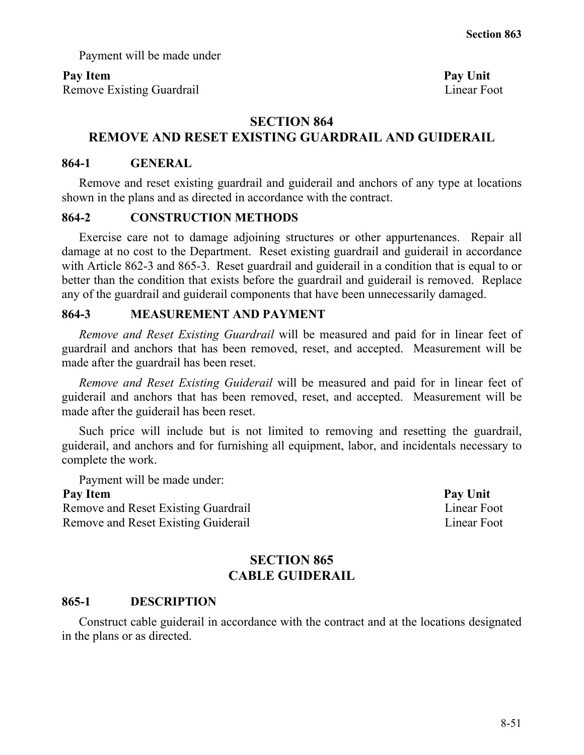Payment will be made under

## Pay Item **Pay Unit**

Remove Existing Guardrail Linear Foot

# **SECTION 864**

# **REMOVE AND RESET EXISTING GUARDRAIL AND GUIDERAIL**

## **864-1 GENERAL**

Remove and reset existing guardrail and guiderail and anchors of any type at locations shown in the plans and as directed in accordance with the contract.

## **864-2 CONSTRUCTION METHODS**

Exercise care not to damage adjoining structures or other appurtenances. Repair all damage at no cost to the Department. Reset existing guardrail and guiderail in accordance with Article 862-3 and 865-3. Reset guardrail and guiderail in a condition that is equal to or better than the condition that exists before the guardrail and guiderail is removed. Replace any of the guardrail and guiderail components that have been unnecessarily damaged.

# **864-3 MEASUREMENT AND PAYMENT**

*Remove and Reset Existing Guardrail* will be measured and paid for in linear feet of guardrail and anchors that has been removed, reset, and accepted. Measurement will be made after the guardrail has been reset.

*Remove and Reset Existing Guiderail* will be measured and paid for in linear feet of guiderail and anchors that has been removed, reset, and accepted. Measurement will be made after the guiderail has been reset.

Such price will include but is not limited to removing and resetting the guardrail, guiderail, and anchors and for furnishing all equipment, labor, and incidentals necessary to complete the work.

Payment will be made under:

Remove and Reset Existing Guardrail Linear Foot Linear Foot Remove and Reset Existing Guiderail Linear Foot

**Pay Item Pay Unit**

# **SECTION 865 CABLE GUIDERAIL**

## **865-1 DESCRIPTION**

Construct cable guiderail in accordance with the contract and at the locations designated in the plans or as directed.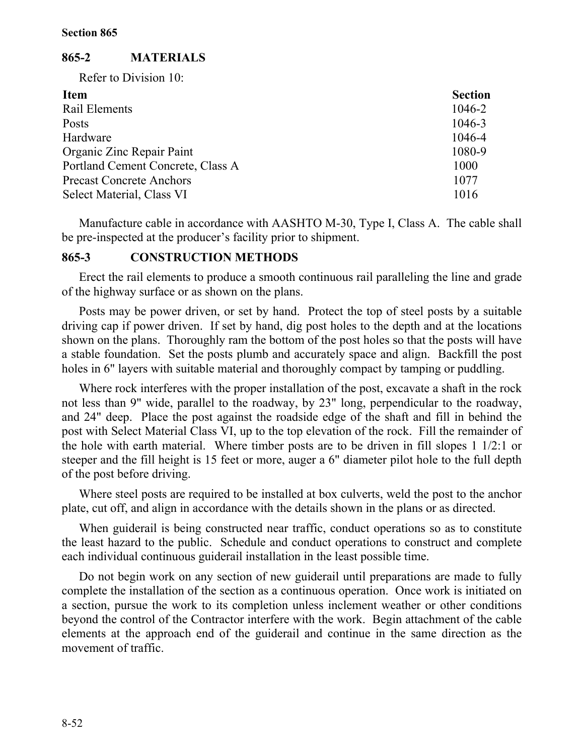## **865-2 MATERIALS**

Refer to Division 10:

| <b>Item</b>                       | <b>Section</b> |
|-----------------------------------|----------------|
| Rail Elements                     | 1046-2         |
| Posts                             | 1046-3         |
| Hardware                          | 1046-4         |
| Organic Zinc Repair Paint         | 1080-9         |
| Portland Cement Concrete, Class A | 1000           |
| <b>Precast Concrete Anchors</b>   | 1077           |
| Select Material, Class VI         | 1016           |

Manufacture cable in accordance with AASHTO M-30, Type I, Class A. The cable shall be pre-inspected at the producer's facility prior to shipment.

## **865-3 CONSTRUCTION METHODS**

Erect the rail elements to produce a smooth continuous rail paralleling the line and grade of the highway surface or as shown on the plans.

Posts may be power driven, or set by hand. Protect the top of steel posts by a suitable driving cap if power driven. If set by hand, dig post holes to the depth and at the locations shown on the plans. Thoroughly ram the bottom of the post holes so that the posts will have a stable foundation. Set the posts plumb and accurately space and align. Backfill the post holes in 6" layers with suitable material and thoroughly compact by tamping or puddling.

Where rock interferes with the proper installation of the post, excavate a shaft in the rock not less than 9" wide, parallel to the roadway, by 23" long, perpendicular to the roadway, and 24" deep. Place the post against the roadside edge of the shaft and fill in behind the post with Select Material Class VI, up to the top elevation of the rock. Fill the remainder of the hole with earth material. Where timber posts are to be driven in fill slopes 1 1/2:1 or steeper and the fill height is 15 feet or more, auger a 6" diameter pilot hole to the full depth of the post before driving.

Where steel posts are required to be installed at box culverts, weld the post to the anchor plate, cut off, and align in accordance with the details shown in the plans or as directed.

When guiderail is being constructed near traffic, conduct operations so as to constitute the least hazard to the public. Schedule and conduct operations to construct and complete each individual continuous guiderail installation in the least possible time.

Do not begin work on any section of new guiderail until preparations are made to fully complete the installation of the section as a continuous operation. Once work is initiated on a section, pursue the work to its completion unless inclement weather or other conditions beyond the control of the Contractor interfere with the work. Begin attachment of the cable elements at the approach end of the guiderail and continue in the same direction as the movement of traffic.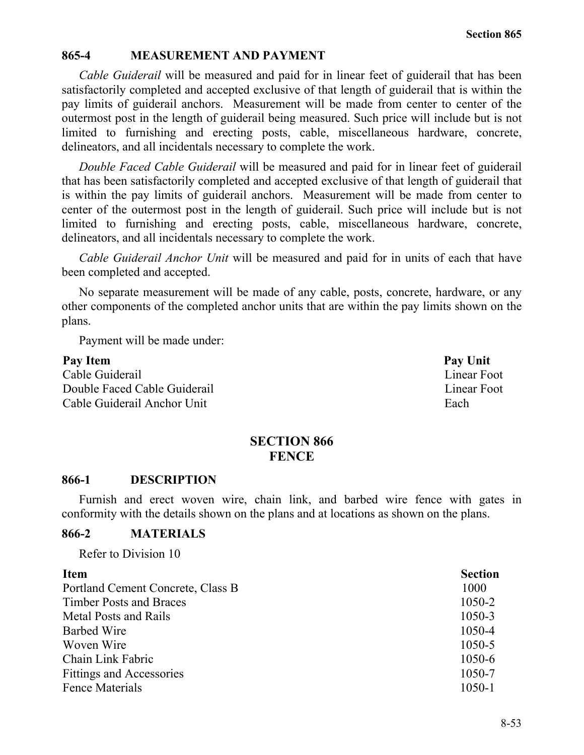## **865-4 MEASUREMENT AND PAYMENT**

*Cable Guiderail* will be measured and paid for in linear feet of guiderail that has been satisfactorily completed and accepted exclusive of that length of guiderail that is within the pay limits of guiderail anchors. Measurement will be made from center to center of the outermost post in the length of guiderail being measured. Such price will include but is not limited to furnishing and erecting posts, cable, miscellaneous hardware, concrete, delineators, and all incidentals necessary to complete the work.

*Double Faced Cable Guiderail* will be measured and paid for in linear feet of guiderail that has been satisfactorily completed and accepted exclusive of that length of guiderail that is within the pay limits of guiderail anchors. Measurement will be made from center to center of the outermost post in the length of guiderail. Such price will include but is not limited to furnishing and erecting posts, cable, miscellaneous hardware, concrete, delineators, and all incidentals necessary to complete the work.

*Cable Guiderail Anchor Unit* will be measured and paid for in units of each that have been completed and accepted.

No separate measurement will be made of any cable, posts, concrete, hardware, or any other components of the completed anchor units that are within the pay limits shown on the plans.

Payment will be made under:

Pay Item **Pay Unit** Cable Guiderail Linear Foot Double Faced Cable Guiderail **Linear Foot** Linear Foot Cable Guiderail Anchor Unit Each

# **SECTION 866 FENCE**

#### **866-1 DESCRIPTION**

Furnish and erect woven wire, chain link, and barbed wire fence with gates in conformity with the details shown on the plans and at locations as shown on the plans.

## **866-2 MATERIALS**

Refer to Division 10

| <b>Item</b>                       | <b>Section</b> |
|-----------------------------------|----------------|
| Portland Cement Concrete, Class B | 1000           |
| <b>Timber Posts and Braces</b>    | 1050-2         |
| <b>Metal Posts and Rails</b>      | 1050-3         |
| <b>Barbed Wire</b>                | 1050-4         |
| Woven Wire                        | 1050-5         |
| Chain Link Fabric                 | 1050-6         |
| <b>Fittings and Accessories</b>   | 1050-7         |
| <b>Fence Materials</b>            | 1050-1         |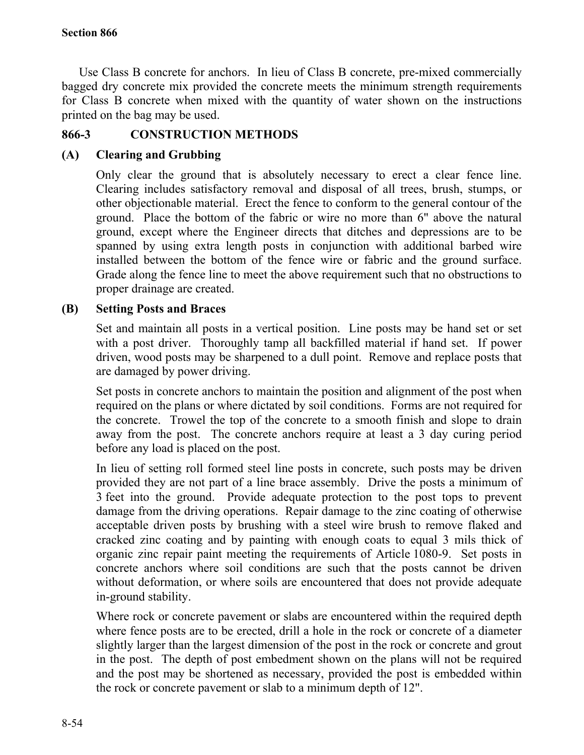Use Class B concrete for anchors. In lieu of Class B concrete, pre-mixed commercially bagged dry concrete mix provided the concrete meets the minimum strength requirements for Class B concrete when mixed with the quantity of water shown on the instructions printed on the bag may be used.

# **866-3 CONSTRUCTION METHODS**

# **(A) Clearing and Grubbing**

Only clear the ground that is absolutely necessary to erect a clear fence line. Clearing includes satisfactory removal and disposal of all trees, brush, stumps, or other objectionable material. Erect the fence to conform to the general contour of the ground. Place the bottom of the fabric or wire no more than 6" above the natural ground, except where the Engineer directs that ditches and depressions are to be spanned by using extra length posts in conjunction with additional barbed wire installed between the bottom of the fence wire or fabric and the ground surface. Grade along the fence line to meet the above requirement such that no obstructions to proper drainage are created.

# **(B) Setting Posts and Braces**

Set and maintain all posts in a vertical position. Line posts may be hand set or set with a post driver. Thoroughly tamp all backfilled material if hand set. If power driven, wood posts may be sharpened to a dull point. Remove and replace posts that are damaged by power driving.

Set posts in concrete anchors to maintain the position and alignment of the post when required on the plans or where dictated by soil conditions. Forms are not required for the concrete. Trowel the top of the concrete to a smooth finish and slope to drain away from the post. The concrete anchors require at least a 3 day curing period before any load is placed on the post.

In lieu of setting roll formed steel line posts in concrete, such posts may be driven provided they are not part of a line brace assembly. Drive the posts a minimum of 3 feet into the ground. Provide adequate protection to the post tops to prevent damage from the driving operations. Repair damage to the zinc coating of otherwise acceptable driven posts by brushing with a steel wire brush to remove flaked and cracked zinc coating and by painting with enough coats to equal 3 mils thick of organic zinc repair paint meeting the requirements of Article 1080-9. Set posts in concrete anchors where soil conditions are such that the posts cannot be driven without deformation, or where soils are encountered that does not provide adequate in-ground stability.

Where rock or concrete pavement or slabs are encountered within the required depth where fence posts are to be erected, drill a hole in the rock or concrete of a diameter slightly larger than the largest dimension of the post in the rock or concrete and grout in the post. The depth of post embedment shown on the plans will not be required and the post may be shortened as necessary, provided the post is embedded within the rock or concrete pavement or slab to a minimum depth of 12".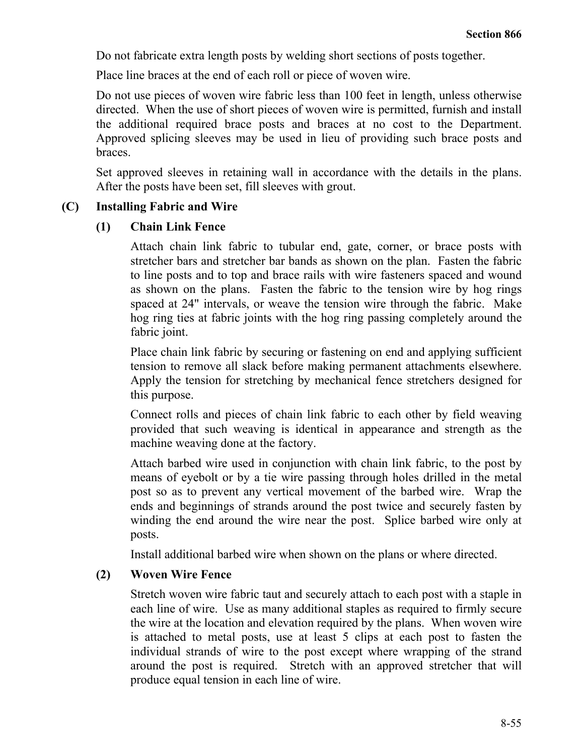Do not fabricate extra length posts by welding short sections of posts together.

Place line braces at the end of each roll or piece of woven wire.

Do not use pieces of woven wire fabric less than 100 feet in length, unless otherwise directed. When the use of short pieces of woven wire is permitted, furnish and install the additional required brace posts and braces at no cost to the Department. Approved splicing sleeves may be used in lieu of providing such brace posts and braces.

Set approved sleeves in retaining wall in accordance with the details in the plans. After the posts have been set, fill sleeves with grout.

# **(C) Installing Fabric and Wire**

## **(1) Chain Link Fence**

Attach chain link fabric to tubular end, gate, corner, or brace posts with stretcher bars and stretcher bar bands as shown on the plan. Fasten the fabric to line posts and to top and brace rails with wire fasteners spaced and wound as shown on the plans. Fasten the fabric to the tension wire by hog rings spaced at 24" intervals, or weave the tension wire through the fabric. Make hog ring ties at fabric joints with the hog ring passing completely around the fabric joint.

Place chain link fabric by securing or fastening on end and applying sufficient tension to remove all slack before making permanent attachments elsewhere. Apply the tension for stretching by mechanical fence stretchers designed for this purpose.

Connect rolls and pieces of chain link fabric to each other by field weaving provided that such weaving is identical in appearance and strength as the machine weaving done at the factory.

Attach barbed wire used in conjunction with chain link fabric, to the post by means of eyebolt or by a tie wire passing through holes drilled in the metal post so as to prevent any vertical movement of the barbed wire. Wrap the ends and beginnings of strands around the post twice and securely fasten by winding the end around the wire near the post. Splice barbed wire only at posts.

Install additional barbed wire when shown on the plans or where directed.

# **(2) Woven Wire Fence**

Stretch woven wire fabric taut and securely attach to each post with a staple in each line of wire. Use as many additional staples as required to firmly secure the wire at the location and elevation required by the plans. When woven wire is attached to metal posts, use at least 5 clips at each post to fasten the individual strands of wire to the post except where wrapping of the strand around the post is required. Stretch with an approved stretcher that will produce equal tension in each line of wire.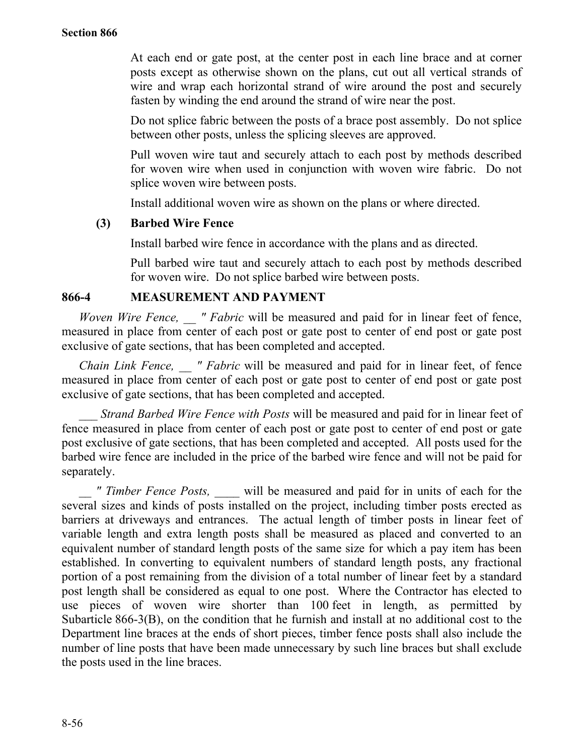At each end or gate post, at the center post in each line brace and at corner posts except as otherwise shown on the plans, cut out all vertical strands of wire and wrap each horizontal strand of wire around the post and securely fasten by winding the end around the strand of wire near the post.

Do not splice fabric between the posts of a brace post assembly. Do not splice between other posts, unless the splicing sleeves are approved.

Pull woven wire taut and securely attach to each post by methods described for woven wire when used in conjunction with woven wire fabric. Do not splice woven wire between posts.

Install additional woven wire as shown on the plans or where directed.

# **(3) Barbed Wire Fence**

Install barbed wire fence in accordance with the plans and as directed.

Pull barbed wire taut and securely attach to each post by methods described for woven wire. Do not splice barbed wire between posts.

## **866-4 MEASUREMENT AND PAYMENT**

*Woven Wire Fence,* " *Fabric* will be measured and paid for in linear feet of fence, measured in place from center of each post or gate post to center of end post or gate post exclusive of gate sections, that has been completed and accepted.

*Chain Link Fence, \_\_ " Fabric* will be measured and paid for in linear feet, of fence measured in place from center of each post or gate post to center of end post or gate post exclusive of gate sections, that has been completed and accepted.

*Strand Barbed Wire Fence with Posts* will be measured and paid for in linear feet of fence measured in place from center of each post or gate post to center of end post or gate post exclusive of gate sections, that has been completed and accepted. All posts used for the barbed wire fence are included in the price of the barbed wire fence and will not be paid for separately.

*" Timber Fence Posts, will be measured and paid for in units of each for the* several sizes and kinds of posts installed on the project, including timber posts erected as barriers at driveways and entrances. The actual length of timber posts in linear feet of variable length and extra length posts shall be measured as placed and converted to an equivalent number of standard length posts of the same size for which a pay item has been established. In converting to equivalent numbers of standard length posts, any fractional portion of a post remaining from the division of a total number of linear feet by a standard post length shall be considered as equal to one post. Where the Contractor has elected to use pieces of woven wire shorter than 100 feet in length, as permitted by Subarticle 866-3(B), on the condition that he furnish and install at no additional cost to the Department line braces at the ends of short pieces, timber fence posts shall also include the number of line posts that have been made unnecessary by such line braces but shall exclude the posts used in the line braces.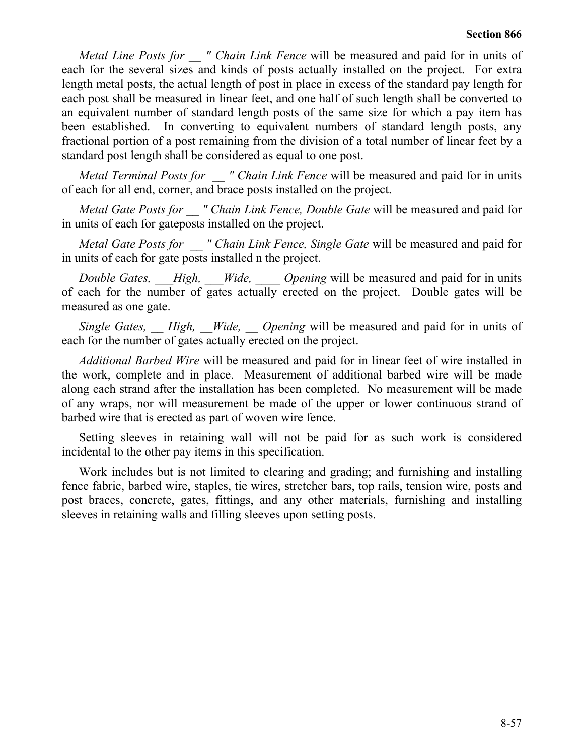*Metal Line Posts for " Chain Link Fence* will be measured and paid for in units of each for the several sizes and kinds of posts actually installed on the project. For extra length metal posts, the actual length of post in place in excess of the standard pay length for each post shall be measured in linear feet, and one half of such length shall be converted to an equivalent number of standard length posts of the same size for which a pay item has been established. In converting to equivalent numbers of standard length posts, any fractional portion of a post remaining from the division of a total number of linear feet by a standard post length shall be considered as equal to one post.

*Metal Terminal Posts for " Chain Link Fence will be measured and paid for in units* of each for all end, corner, and brace posts installed on the project.

*Metal Gate Posts for " Chain Link Fence, Double Gate* will be measured and paid for in units of each for gateposts installed on the project.

*Metal Gate Posts for " Chain Link Fence, Single Gate will be measured and paid for* in units of each for gate posts installed n the project.

*Double Gates, High, Wide, Opening* will be measured and paid for in units of each for the number of gates actually erected on the project. Double gates will be measured as one gate.

*Single Gates, High, Wide, Opening* will be measured and paid for in units of each for the number of gates actually erected on the project.

*Additional Barbed Wire* will be measured and paid for in linear feet of wire installed in the work, complete and in place. Measurement of additional barbed wire will be made along each strand after the installation has been completed. No measurement will be made of any wraps, nor will measurement be made of the upper or lower continuous strand of barbed wire that is erected as part of woven wire fence.

Setting sleeves in retaining wall will not be paid for as such work is considered incidental to the other pay items in this specification.

Work includes but is not limited to clearing and grading; and furnishing and installing fence fabric, barbed wire, staples, tie wires, stretcher bars, top rails, tension wire, posts and post braces, concrete, gates, fittings, and any other materials, furnishing and installing sleeves in retaining walls and filling sleeves upon setting posts.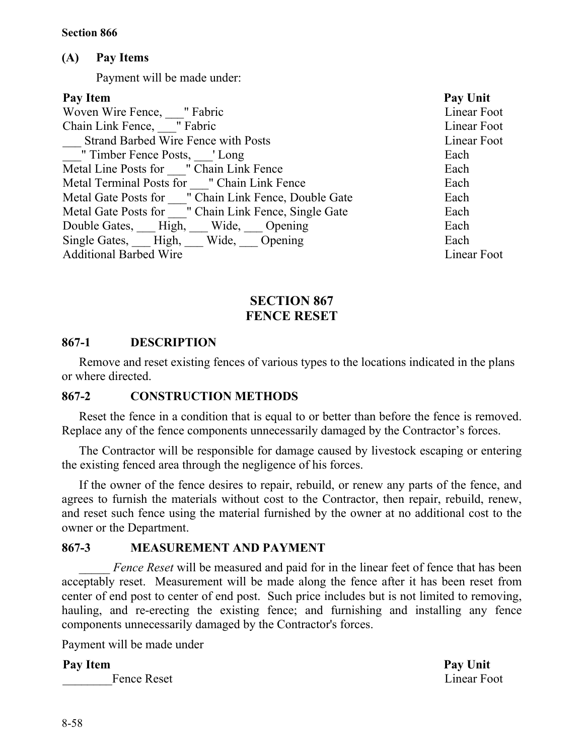# **(A) Pay Items**

Payment will be made under:

| <b>Pay Unit</b> |
|-----------------|
| Linear Foot     |
| Linear Foot     |
| Linear Foot     |
| Each            |
| Each            |
| Each            |
| Each            |
| Each            |
| Each            |
| Each            |
| Linear Foot     |
|                 |

# **SECTION 867 FENCE RESET**

# **867-1 DESCRIPTION**

Remove and reset existing fences of various types to the locations indicated in the plans or where directed.

# **867-2 CONSTRUCTION METHODS**

Reset the fence in a condition that is equal to or better than before the fence is removed. Replace any of the fence components unnecessarily damaged by the Contractor's forces.

The Contractor will be responsible for damage caused by livestock escaping or entering the existing fenced area through the negligence of his forces.

If the owner of the fence desires to repair, rebuild, or renew any parts of the fence, and agrees to furnish the materials without cost to the Contractor, then repair, rebuild, renew, and reset such fence using the material furnished by the owner at no additional cost to the owner or the Department.

# **867-3 MEASUREMENT AND PAYMENT**

\_\_\_\_\_ *Fence Reset* will be measured and paid for in the linear feet of fence that has been acceptably reset. Measurement will be made along the fence after it has been reset from center of end post to center of end post. Such price includes but is not limited to removing, hauling, and re-erecting the existing fence; and furnishing and installing any fence components unnecessarily damaged by the Contractor's forces.

Payment will be made under

# **Pay Item Pay Unit**

Fence Reset Linear Foot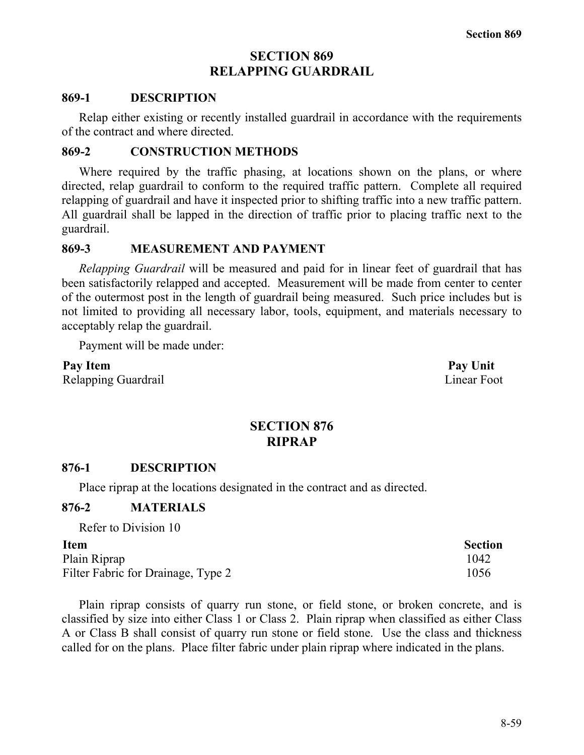# **SECTION 869 RELAPPING GUARDRAIL**

#### **869-1 DESCRIPTION**

Relap either existing or recently installed guardrail in accordance with the requirements of the contract and where directed.

#### **869-2 CONSTRUCTION METHODS**

Where required by the traffic phasing, at locations shown on the plans, or where directed, relap guardrail to conform to the required traffic pattern. Complete all required relapping of guardrail and have it inspected prior to shifting traffic into a new traffic pattern. All guardrail shall be lapped in the direction of traffic prior to placing traffic next to the guardrail.

#### **869-3 MEASUREMENT AND PAYMENT**

*Relapping Guardrail* will be measured and paid for in linear feet of guardrail that has been satisfactorily relapped and accepted. Measurement will be made from center to center of the outermost post in the length of guardrail being measured. Such price includes but is not limited to providing all necessary labor, tools, equipment, and materials necessary to acceptably relap the guardrail.

Payment will be made under:

**Pay Item Pay Unit** Relapping Guardrail Linear Foot

# **SECTION 876 RIPRAP**

## **876-1 DESCRIPTION**

Place riprap at the locations designated in the contract and as directed.

## **876-2 MATERIALS**

Refer to Division 10

#### **Item Section**

Plain Riprap 1042 Filter Fabric for Drainage, Type 2 1056

Plain riprap consists of quarry run stone, or field stone, or broken concrete, and is classified by size into either Class 1 or Class 2. Plain riprap when classified as either Class A or Class B shall consist of quarry run stone or field stone. Use the class and thickness called for on the plans. Place filter fabric under plain riprap where indicated in the plans.